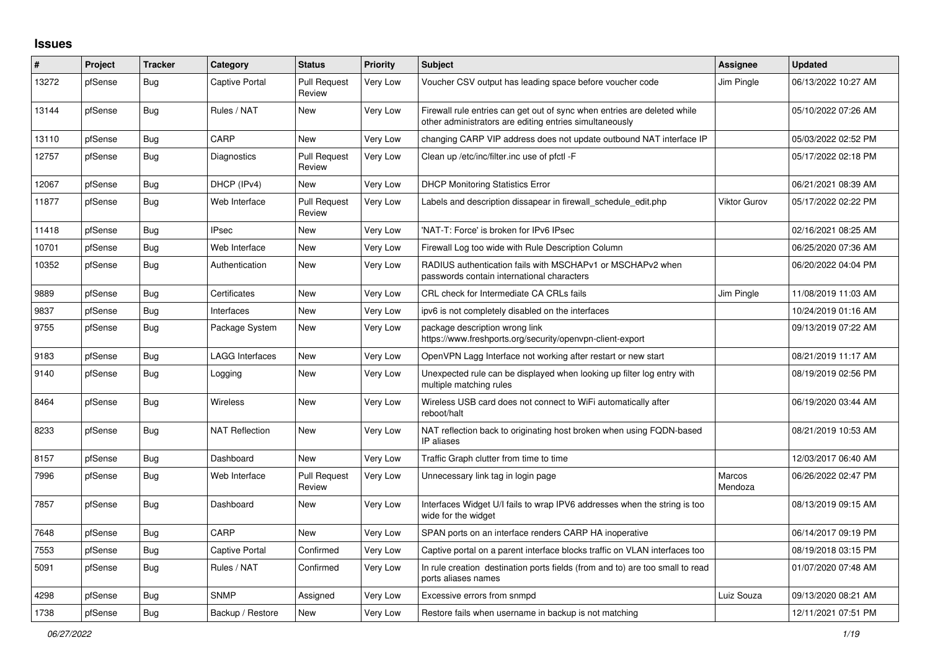## **Issues**

| #     | Project | <b>Tracker</b> | Category               | <b>Status</b>                 | <b>Priority</b> | <b>Subject</b>                                                                                                                      | Assignee            | <b>Updated</b>      |
|-------|---------|----------------|------------------------|-------------------------------|-----------------|-------------------------------------------------------------------------------------------------------------------------------------|---------------------|---------------------|
| 13272 | pfSense | Bug            | Captive Portal         | <b>Pull Request</b><br>Review | Very Low        | Voucher CSV output has leading space before voucher code                                                                            | Jim Pingle          | 06/13/2022 10:27 AM |
| 13144 | pfSense | <b>Bug</b>     | Rules / NAT            | <b>New</b>                    | Very Low        | Firewall rule entries can get out of sync when entries are deleted while<br>other administrators are editing entries simultaneously |                     | 05/10/2022 07:26 AM |
| 13110 | pfSense | <b>Bug</b>     | CARP                   | <b>New</b>                    | Very Low        | changing CARP VIP address does not update outbound NAT interface IP                                                                 |                     | 05/03/2022 02:52 PM |
| 12757 | pfSense | <b>Bug</b>     | <b>Diagnostics</b>     | <b>Pull Request</b><br>Review | Very Low        | Clean up /etc/inc/filter.inc use of pfctl -F                                                                                        |                     | 05/17/2022 02:18 PM |
| 12067 | pfSense | <b>Bug</b>     | DHCP (IPv4)            | <b>New</b>                    | <b>Very Low</b> | <b>DHCP Monitoring Statistics Error</b>                                                                                             |                     | 06/21/2021 08:39 AM |
| 11877 | pfSense | Bug            | Web Interface          | <b>Pull Request</b><br>Review | Very Low        | Labels and description dissapear in firewall schedule edit.php                                                                      | <b>Viktor Gurov</b> | 05/17/2022 02:22 PM |
| 11418 | pfSense | Bug            | <b>IPsec</b>           | <b>New</b>                    | Very Low        | 'NAT-T: Force' is broken for IPv6 IPsec                                                                                             |                     | 02/16/2021 08:25 AM |
| 10701 | pfSense | <b>Bug</b>     | Web Interface          | <b>New</b>                    | <b>Very Low</b> | Firewall Log too wide with Rule Description Column                                                                                  |                     | 06/25/2020 07:36 AM |
| 10352 | pfSense | <b>Bug</b>     | Authentication         | <b>New</b>                    | Very Low        | RADIUS authentication fails with MSCHAPv1 or MSCHAPv2 when<br>passwords contain international characters                            |                     | 06/20/2022 04:04 PM |
| 9889  | pfSense | Bug            | Certificates           | New                           | <b>Very Low</b> | CRL check for Intermediate CA CRLs fails                                                                                            | Jim Pingle          | 11/08/2019 11:03 AM |
| 9837  | pfSense | <b>Bug</b>     | Interfaces             | New                           | <b>Very Low</b> | ipv6 is not completely disabled on the interfaces                                                                                   |                     | 10/24/2019 01:16 AM |
| 9755  | pfSense | Bug            | Package System         | New                           | Very Low        | package description wrong link<br>https://www.freshports.org/security/openvpn-client-export                                         |                     | 09/13/2019 07:22 AM |
| 9183  | pfSense | <b>Bug</b>     | <b>LAGG Interfaces</b> | <b>New</b>                    | Very Low        | OpenVPN Lagg Interface not working after restart or new start                                                                       |                     | 08/21/2019 11:17 AM |
| 9140  | pfSense | <b>Bug</b>     | Logging                | <b>New</b>                    | Very Low        | Unexpected rule can be displayed when looking up filter log entry with<br>multiple matching rules                                   |                     | 08/19/2019 02:56 PM |
| 8464  | pfSense | <b>Bug</b>     | <b>Wireless</b>        | <b>New</b>                    | Very Low        | Wireless USB card does not connect to WiFi automatically after<br>reboot/halt                                                       |                     | 06/19/2020 03:44 AM |
| 8233  | pfSense | <b>Bug</b>     | <b>NAT Reflection</b>  | New                           | Very Low        | NAT reflection back to originating host broken when using FQDN-based<br>IP aliases                                                  |                     | 08/21/2019 10:53 AM |
| 8157  | pfSense | <b>Bug</b>     | Dashboard              | <b>New</b>                    | <b>Very Low</b> | Traffic Graph clutter from time to time                                                                                             |                     | 12/03/2017 06:40 AM |
| 7996  | pfSense | Bug            | Web Interface          | <b>Pull Request</b><br>Review | Very Low        | Unnecessary link tag in login page                                                                                                  | Marcos<br>Mendoza   | 06/26/2022 02:47 PM |
| 7857  | pfSense | Bug            | Dashboard              | New                           | <b>Very Low</b> | Interfaces Widget U/I fails to wrap IPV6 addresses when the string is too<br>wide for the widget                                    |                     | 08/13/2019 09:15 AM |
| 7648  | pfSense | Bug            | CARP                   | <b>New</b>                    | <b>Very Low</b> | SPAN ports on an interface renders CARP HA inoperative                                                                              |                     | 06/14/2017 09:19 PM |
| 7553  | pfSense | Bug            | Captive Portal         | Confirmed                     | Very Low        | Captive portal on a parent interface blocks traffic on VLAN interfaces too                                                          |                     | 08/19/2018 03:15 PM |
| 5091  | pfSense | <b>Bug</b>     | Rules / NAT            | Confirmed                     | Very Low        | In rule creation destination ports fields (from and to) are too small to read<br>ports aliases names                                |                     | 01/07/2020 07:48 AM |
| 4298  | pfSense | <b>Bug</b>     | <b>SNMP</b>            | Assigned                      | Very Low        | Excessive errors from snmpd                                                                                                         | Luiz Souza          | 09/13/2020 08:21 AM |
| 1738  | pfSense | <b>Bug</b>     | Backup / Restore       | <b>New</b>                    | Very Low        | Restore fails when username in backup is not matching                                                                               |                     | 12/11/2021 07:51 PM |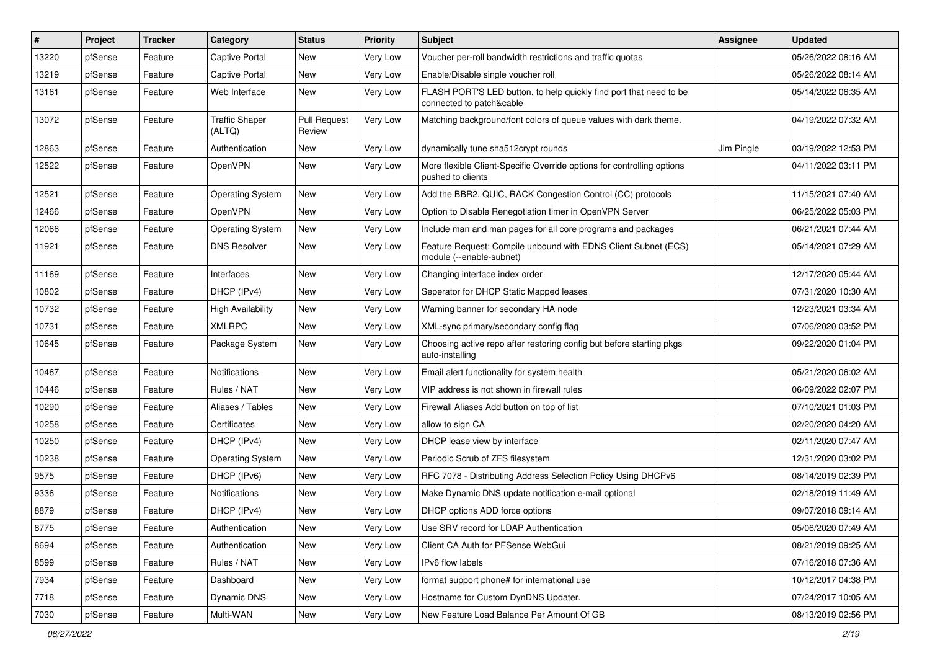| $\vert$ # | Project | <b>Tracker</b> | Category                        | <b>Status</b>                 | <b>Priority</b> | Subject                                                                                        | <b>Assignee</b> | <b>Updated</b>      |
|-----------|---------|----------------|---------------------------------|-------------------------------|-----------------|------------------------------------------------------------------------------------------------|-----------------|---------------------|
| 13220     | pfSense | Feature        | Captive Portal                  | New                           | Very Low        | Voucher per-roll bandwidth restrictions and traffic quotas                                     |                 | 05/26/2022 08:16 AM |
| 13219     | pfSense | Feature        | <b>Captive Portal</b>           | New                           | Very Low        | Enable/Disable single voucher roll                                                             |                 | 05/26/2022 08:14 AM |
| 13161     | pfSense | Feature        | Web Interface                   | <b>New</b>                    | Very Low        | FLASH PORT'S LED button, to help quickly find port that need to be<br>connected to patch&cable |                 | 05/14/2022 06:35 AM |
| 13072     | pfSense | Feature        | <b>Traffic Shaper</b><br>(ALTQ) | <b>Pull Request</b><br>Review | Very Low        | Matching background/font colors of queue values with dark theme.                               |                 | 04/19/2022 07:32 AM |
| 12863     | pfSense | Feature        | Authentication                  | New                           | Very Low        | dynamically tune sha512crypt rounds                                                            | Jim Pingle      | 03/19/2022 12:53 PM |
| 12522     | pfSense | Feature        | OpenVPN                         | <b>New</b>                    | Very Low        | More flexible Client-Specific Override options for controlling options<br>pushed to clients    |                 | 04/11/2022 03:11 PM |
| 12521     | pfSense | Feature        | <b>Operating System</b>         | <b>New</b>                    | Very Low        | Add the BBR2, QUIC, RACK Congestion Control (CC) protocols                                     |                 | 11/15/2021 07:40 AM |
| 12466     | pfSense | Feature        | OpenVPN                         | New                           | Very Low        | Option to Disable Renegotiation timer in OpenVPN Server                                        |                 | 06/25/2022 05:03 PM |
| 12066     | pfSense | Feature        | <b>Operating System</b>         | New                           | Very Low        | Include man and man pages for all core programs and packages                                   |                 | 06/21/2021 07:44 AM |
| 11921     | pfSense | Feature        | <b>DNS Resolver</b>             | New                           | Very Low        | Feature Request: Compile unbound with EDNS Client Subnet (ECS)<br>module (--enable-subnet)     |                 | 05/14/2021 07:29 AM |
| 11169     | pfSense | Feature        | Interfaces                      | New                           | Very Low        | Changing interface index order                                                                 |                 | 12/17/2020 05:44 AM |
| 10802     | pfSense | Feature        | DHCP (IPv4)                     | New                           | Very Low        | Seperator for DHCP Static Mapped leases                                                        |                 | 07/31/2020 10:30 AM |
| 10732     | pfSense | Feature        | <b>High Availability</b>        | New                           | Very Low        | Warning banner for secondary HA node                                                           |                 | 12/23/2021 03:34 AM |
| 10731     | pfSense | Feature        | <b>XMLRPC</b>                   | New                           | Very Low        | XML-sync primary/secondary config flag                                                         |                 | 07/06/2020 03:52 PM |
| 10645     | pfSense | Feature        | Package System                  | New                           | Very Low        | Choosing active repo after restoring config but before starting pkgs<br>auto-installing        |                 | 09/22/2020 01:04 PM |
| 10467     | pfSense | Feature        | Notifications                   | <b>New</b>                    | Very Low        | Email alert functionality for system health                                                    |                 | 05/21/2020 06:02 AM |
| 10446     | pfSense | Feature        | Rules / NAT                     | New                           | Very Low        | VIP address is not shown in firewall rules                                                     |                 | 06/09/2022 02:07 PM |
| 10290     | pfSense | Feature        | Aliases / Tables                | New                           | Very Low        | Firewall Aliases Add button on top of list                                                     |                 | 07/10/2021 01:03 PM |
| 10258     | pfSense | Feature        | Certificates                    | New                           | Very Low        | allow to sign CA                                                                               |                 | 02/20/2020 04:20 AM |
| 10250     | pfSense | Feature        | DHCP (IPv4)                     | New                           | Very Low        | DHCP lease view by interface                                                                   |                 | 02/11/2020 07:47 AM |
| 10238     | pfSense | Feature        | <b>Operating System</b>         | New                           | Very Low        | Periodic Scrub of ZFS filesystem                                                               |                 | 12/31/2020 03:02 PM |
| 9575      | pfSense | Feature        | DHCP (IPv6)                     | New                           | Very Low        | RFC 7078 - Distributing Address Selection Policy Using DHCPv6                                  |                 | 08/14/2019 02:39 PM |
| 9336      | pfSense | Feature        | Notifications                   | New                           | Very Low        | Make Dynamic DNS update notification e-mail optional                                           |                 | 02/18/2019 11:49 AM |
| 8879      | pfSense | Feature        | DHCP (IPv4)                     | New                           | Very Low        | DHCP options ADD force options                                                                 |                 | 09/07/2018 09:14 AM |
| 8775      | pfSense | Feature        | Authentication                  | New                           | Very Low        | Use SRV record for LDAP Authentication                                                         |                 | 05/06/2020 07:49 AM |
| 8694      | pfSense | Feature        | Authentication                  | New                           | Very Low        | Client CA Auth for PFSense WebGui                                                              |                 | 08/21/2019 09:25 AM |
| 8599      | pfSense | Feature        | Rules / NAT                     | New                           | Very Low        | IPv6 flow labels                                                                               |                 | 07/16/2018 07:36 AM |
| 7934      | pfSense | Feature        | Dashboard                       | New                           | Very Low        | format support phone# for international use                                                    |                 | 10/12/2017 04:38 PM |
| 7718      | pfSense | Feature        | <b>Dynamic DNS</b>              | New                           | Very Low        | Hostname for Custom DynDNS Updater.                                                            |                 | 07/24/2017 10:05 AM |
| 7030      | pfSense | Feature        | Multi-WAN                       | New                           | Very Low        | New Feature Load Balance Per Amount Of GB                                                      |                 | 08/13/2019 02:56 PM |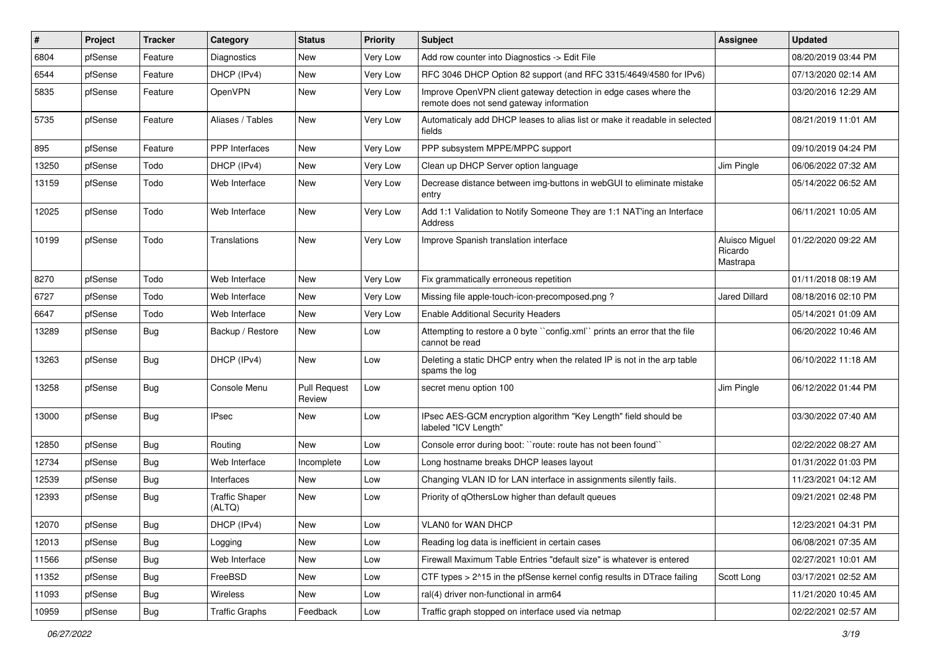| ∦     | Project | <b>Tracker</b> | Category                        | <b>Status</b>                 | <b>Priority</b> | Subject                                                                                                      | Assignee                              | <b>Updated</b>      |
|-------|---------|----------------|---------------------------------|-------------------------------|-----------------|--------------------------------------------------------------------------------------------------------------|---------------------------------------|---------------------|
| 6804  | pfSense | Feature        | Diagnostics                     | New                           | <b>Very Low</b> | Add row counter into Diagnostics -> Edit File                                                                |                                       | 08/20/2019 03:44 PM |
| 6544  | pfSense | Feature        | DHCP (IPv4)                     | New                           | Very Low        | RFC 3046 DHCP Option 82 support (and RFC 3315/4649/4580 for IPv6)                                            |                                       | 07/13/2020 02:14 AM |
| 5835  | pfSense | Feature        | OpenVPN                         | New                           | Very Low        | Improve OpenVPN client gateway detection in edge cases where the<br>remote does not send gateway information |                                       | 03/20/2016 12:29 AM |
| 5735  | pfSense | Feature        | Aliases / Tables                | New                           | Very Low        | Automaticaly add DHCP leases to alias list or make it readable in selected<br>fields                         |                                       | 08/21/2019 11:01 AM |
| 895   | pfSense | Feature        | <b>PPP</b> Interfaces           | New                           | Very Low        | PPP subsystem MPPE/MPPC support                                                                              |                                       | 09/10/2019 04:24 PM |
| 13250 | pfSense | Todo           | DHCP (IPv4)                     | New                           | Very Low        | Clean up DHCP Server option language                                                                         | Jim Pingle                            | 06/06/2022 07:32 AM |
| 13159 | pfSense | Todo           | Web Interface                   | New                           | Very Low        | Decrease distance between img-buttons in webGUI to eliminate mistake<br>entry                                |                                       | 05/14/2022 06:52 AM |
| 12025 | pfSense | Todo           | Web Interface                   | <b>New</b>                    | Very Low        | Add 1:1 Validation to Notify Someone They are 1:1 NAT'ing an Interface<br>Address                            |                                       | 06/11/2021 10:05 AM |
| 10199 | pfSense | Todo           | Translations                    | New                           | Very Low        | Improve Spanish translation interface                                                                        | Aluisco Miguel<br>Ricardo<br>Mastrapa | 01/22/2020 09:22 AM |
| 8270  | pfSense | Todo           | Web Interface                   | New                           | Very Low        | Fix grammatically erroneous repetition                                                                       |                                       | 01/11/2018 08:19 AM |
| 6727  | pfSense | Todo           | Web Interface                   | New                           | Very Low        | Missing file apple-touch-icon-precomposed.png?                                                               | <b>Jared Dillard</b>                  | 08/18/2016 02:10 PM |
| 6647  | pfSense | Todo           | Web Interface                   | New                           | Very Low        | <b>Enable Additional Security Headers</b>                                                                    |                                       | 05/14/2021 01:09 AM |
| 13289 | pfSense | Bug            | Backup / Restore                | New                           | Low             | Attempting to restore a 0 byte ``config.xml`` prints an error that the file<br>cannot be read                |                                       | 06/20/2022 10:46 AM |
| 13263 | pfSense | Bug            | DHCP (IPv4)                     | New                           | Low             | Deleting a static DHCP entry when the related IP is not in the arp table<br>spams the log                    |                                       | 06/10/2022 11:18 AM |
| 13258 | pfSense | Bug            | Console Menu                    | <b>Pull Request</b><br>Review | Low             | secret menu option 100                                                                                       | Jim Pingle                            | 06/12/2022 01:44 PM |
| 13000 | pfSense | Bug            | <b>IPsec</b>                    | New                           | Low             | IPsec AES-GCM encryption algorithm "Key Length" field should be<br>labeled "ICV Length"                      |                                       | 03/30/2022 07:40 AM |
| 12850 | pfSense | <b>Bug</b>     | Routing                         | <b>New</b>                    | Low             | Console error during boot: "route: route has not been found"                                                 |                                       | 02/22/2022 08:27 AM |
| 12734 | pfSense | Bug            | Web Interface                   | Incomplete                    | Low             | Long hostname breaks DHCP leases layout                                                                      |                                       | 01/31/2022 01:03 PM |
| 12539 | pfSense | <b>Bug</b>     | Interfaces                      | New                           | Low             | Changing VLAN ID for LAN interface in assignments silently fails.                                            |                                       | 11/23/2021 04:12 AM |
| 12393 | pfSense | Bug            | <b>Traffic Shaper</b><br>(ALTQ) | New                           | Low             | Priority of gOthersLow higher than default queues                                                            |                                       | 09/21/2021 02:48 PM |
| 12070 | pfSense | <b>Bug</b>     | DHCP (IPv4)                     | New                           | Low             | VLAN0 for WAN DHCP                                                                                           |                                       | 12/23/2021 04:31 PM |
| 12013 | pfSense | Bug            | Logging                         | New                           | Low             | Reading log data is inefficient in certain cases                                                             |                                       | 06/08/2021 07:35 AM |
| 11566 | pfSense | <b>Bug</b>     | Web Interface                   | New                           | Low             | Firewall Maximum Table Entries "default size" is whatever is entered                                         |                                       | 02/27/2021 10:01 AM |
| 11352 | pfSense | <b>Bug</b>     | FreeBSD                         | New                           | Low             | CTF types > 2^15 in the pfSense kernel config results in DTrace failing                                      | Scott Long                            | 03/17/2021 02:52 AM |
| 11093 | pfSense | Bug            | Wireless                        | New                           | Low             | ral(4) driver non-functional in arm64                                                                        |                                       | 11/21/2020 10:45 AM |
| 10959 | pfSense | Bug            | <b>Traffic Graphs</b>           | Feedback                      | Low             | Traffic graph stopped on interface used via netmap                                                           |                                       | 02/22/2021 02:57 AM |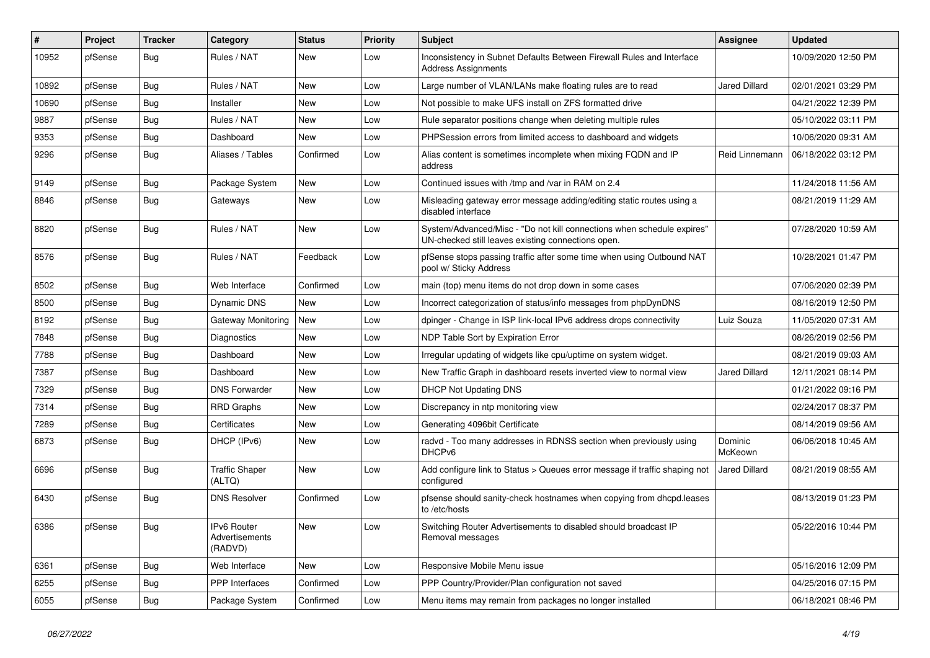| #     | Project | <b>Tracker</b> | Category                                 | <b>Status</b> | <b>Priority</b> | Subject                                                                                                                      | Assignee             | <b>Updated</b>      |
|-------|---------|----------------|------------------------------------------|---------------|-----------------|------------------------------------------------------------------------------------------------------------------------------|----------------------|---------------------|
| 10952 | pfSense | <b>Bug</b>     | Rules / NAT                              | New           | Low             | Inconsistency in Subnet Defaults Between Firewall Rules and Interface<br><b>Address Assignments</b>                          |                      | 10/09/2020 12:50 PM |
| 10892 | pfSense | Bug            | Rules / NAT                              | New           | Low             | Large number of VLAN/LANs make floating rules are to read                                                                    | <b>Jared Dillard</b> | 02/01/2021 03:29 PM |
| 10690 | pfSense | <b>Bug</b>     | Installer                                | New           | Low             | Not possible to make UFS install on ZFS formatted drive                                                                      |                      | 04/21/2022 12:39 PM |
| 9887  | pfSense | <b>Bug</b>     | Rules / NAT                              | New           | Low             | Rule separator positions change when deleting multiple rules                                                                 |                      | 05/10/2022 03:11 PM |
| 9353  | pfSense | <b>Bug</b>     | Dashboard                                | <b>New</b>    | Low             | PHPSession errors from limited access to dashboard and widgets                                                               |                      | 10/06/2020 09:31 AM |
| 9296  | pfSense | <b>Bug</b>     | Aliases / Tables                         | Confirmed     | Low             | Alias content is sometimes incomplete when mixing FQDN and IP<br>address                                                     | Reid Linnemann       | 06/18/2022 03:12 PM |
| 9149  | pfSense | <b>Bug</b>     | Package System                           | New           | Low             | Continued issues with /tmp and /var in RAM on 2.4                                                                            |                      | 11/24/2018 11:56 AM |
| 8846  | pfSense | <b>Bug</b>     | Gateways                                 | New           | Low             | Misleading gateway error message adding/editing static routes using a<br>disabled interface                                  |                      | 08/21/2019 11:29 AM |
| 8820  | pfSense | <b>Bug</b>     | Rules / NAT                              | New           | Low             | System/Advanced/Misc - "Do not kill connections when schedule expires"<br>UN-checked still leaves existing connections open. |                      | 07/28/2020 10:59 AM |
| 8576  | pfSense | Bug            | Rules / NAT                              | Feedback      | Low             | pfSense stops passing traffic after some time when using Outbound NAT<br>pool w/ Sticky Address                              |                      | 10/28/2021 01:47 PM |
| 8502  | pfSense | Bug            | Web Interface                            | Confirmed     | Low             | main (top) menu items do not drop down in some cases                                                                         |                      | 07/06/2020 02:39 PM |
| 8500  | pfSense | <b>Bug</b>     | <b>Dynamic DNS</b>                       | New           | Low             | Incorrect categorization of status/info messages from phpDynDNS                                                              |                      | 08/16/2019 12:50 PM |
| 8192  | pfSense | <b>Bug</b>     | Gateway Monitoring                       | New           | Low             | dpinger - Change in ISP link-local IPv6 address drops connectivity                                                           | Luiz Souza           | 11/05/2020 07:31 AM |
| 7848  | pfSense | <b>Bug</b>     | Diagnostics                              | <b>New</b>    | Low             | NDP Table Sort by Expiration Error                                                                                           |                      | 08/26/2019 02:56 PM |
| 7788  | pfSense | <b>Bug</b>     | Dashboard                                | New           | Low             | Irregular updating of widgets like cpu/uptime on system widget.                                                              |                      | 08/21/2019 09:03 AM |
| 7387  | pfSense | <b>Bug</b>     | Dashboard                                | New           | Low             | New Traffic Graph in dashboard resets inverted view to normal view                                                           | <b>Jared Dillard</b> | 12/11/2021 08:14 PM |
| 7329  | pfSense | <b>Bug</b>     | <b>DNS Forwarder</b>                     | New           | Low             | <b>DHCP Not Updating DNS</b>                                                                                                 |                      | 01/21/2022 09:16 PM |
| 7314  | pfSense | <b>Bug</b>     | <b>RRD Graphs</b>                        | New           | Low             | Discrepancy in ntp monitoring view                                                                                           |                      | 02/24/2017 08:37 PM |
| 7289  | pfSense | Bug            | Certificates                             | New           | Low             | Generating 4096bit Certificate                                                                                               |                      | 08/14/2019 09:56 AM |
| 6873  | pfSense | <b>Bug</b>     | DHCP (IPv6)                              | New           | Low             | radvd - Too many addresses in RDNSS section when previously using<br>DHCP <sub>v6</sub>                                      | Dominic<br>McKeown   | 06/06/2018 10:45 AM |
| 6696  | pfSense | <b>Bug</b>     | <b>Traffic Shaper</b><br>(ALTQ)          | <b>New</b>    | Low             | Add configure link to Status > Queues error message if traffic shaping not<br>configured                                     | <b>Jared Dillard</b> | 08/21/2019 08:55 AM |
| 6430  | pfSense | Bug            | <b>DNS Resolver</b>                      | Confirmed     | Low             | pfsense should sanity-check hostnames when copying from dhcpd.leases<br>to /etc/hosts                                        |                      | 08/13/2019 01:23 PM |
| 6386  | pfSense | <b>Bug</b>     | IPv6 Router<br>Advertisements<br>(RADVD) | New           | Low             | Switching Router Advertisements to disabled should broadcast IP<br>Removal messages                                          |                      | 05/22/2016 10:44 PM |
| 6361  | pfSense | <b>Bug</b>     | Web Interface                            | New           | Low             | Responsive Mobile Menu issue                                                                                                 |                      | 05/16/2016 12:09 PM |
| 6255  | pfSense | <b>Bug</b>     | PPP Interfaces                           | Confirmed     | Low             | PPP Country/Provider/Plan configuration not saved                                                                            |                      | 04/25/2016 07:15 PM |
| 6055  | pfSense | Bug            | Package System                           | Confirmed     | Low             | Menu items may remain from packages no longer installed                                                                      |                      | 06/18/2021 08:46 PM |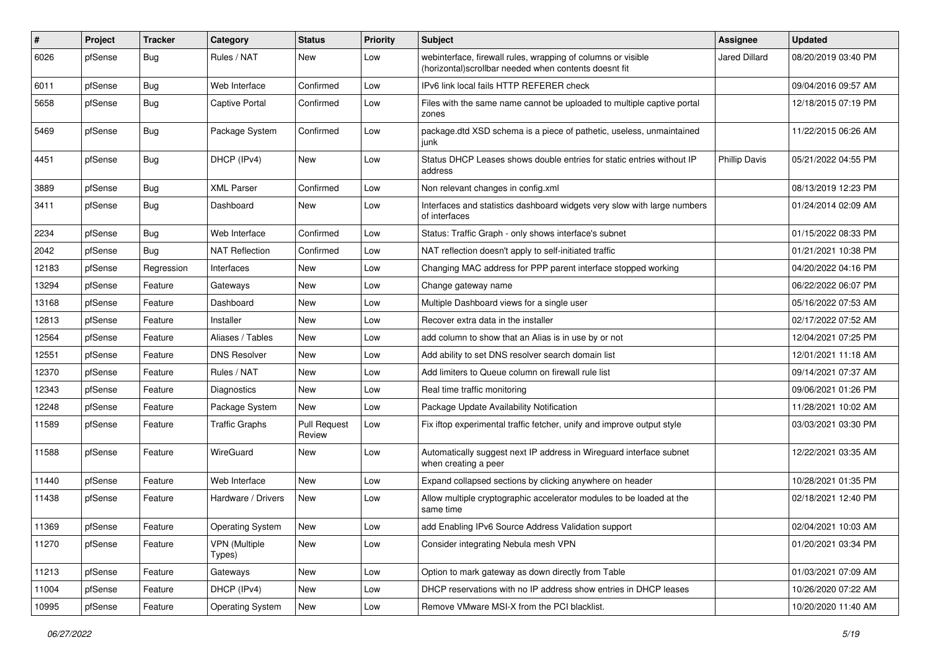| #     | Project | <b>Tracker</b> | Category                       | <b>Status</b>                 | <b>Priority</b> | <b>Subject</b>                                                                                                         | Assignee             | <b>Updated</b>      |
|-------|---------|----------------|--------------------------------|-------------------------------|-----------------|------------------------------------------------------------------------------------------------------------------------|----------------------|---------------------|
| 6026  | pfSense | <b>Bug</b>     | Rules / NAT                    | New                           | Low             | webinterface, firewall rules, wrapping of columns or visible<br>(horizontal) scrollbar needed when contents doesnt fit | <b>Jared Dillard</b> | 08/20/2019 03:40 PM |
| 6011  | pfSense | Bug            | Web Interface                  | Confirmed                     | Low             | IPv6 link local fails HTTP REFERER check                                                                               |                      | 09/04/2016 09:57 AM |
| 5658  | pfSense | Bug            | <b>Captive Portal</b>          | Confirmed                     | Low             | Files with the same name cannot be uploaded to multiple captive portal<br>zones                                        |                      | 12/18/2015 07:19 PM |
| 5469  | pfSense | Bug            | Package System                 | Confirmed                     | Low             | package.dtd XSD schema is a piece of pathetic, useless, unmaintained<br>iunk                                           |                      | 11/22/2015 06:26 AM |
| 4451  | pfSense | <b>Bug</b>     | DHCP (IPv4)                    | New                           | Low             | Status DHCP Leases shows double entries for static entries without IP<br>address                                       | <b>Phillip Davis</b> | 05/21/2022 04:55 PM |
| 3889  | pfSense | <b>Bug</b>     | <b>XML Parser</b>              | Confirmed                     | Low             | Non relevant changes in config.xml                                                                                     |                      | 08/13/2019 12:23 PM |
| 3411  | pfSense | Bug            | Dashboard                      | New                           | Low             | Interfaces and statistics dashboard widgets very slow with large numbers<br>of interfaces                              |                      | 01/24/2014 02:09 AM |
| 2234  | pfSense | Bug            | Web Interface                  | Confirmed                     | Low             | Status: Traffic Graph - only shows interface's subnet                                                                  |                      | 01/15/2022 08:33 PM |
| 2042  | pfSense | Bug            | <b>NAT Reflection</b>          | Confirmed                     | Low             | NAT reflection doesn't apply to self-initiated traffic                                                                 |                      | 01/21/2021 10:38 PM |
| 12183 | pfSense | Regression     | Interfaces                     | New                           | Low             | Changing MAC address for PPP parent interface stopped working                                                          |                      | 04/20/2022 04:16 PM |
| 13294 | pfSense | Feature        | Gateways                       | New                           | Low             | Change gateway name                                                                                                    |                      | 06/22/2022 06:07 PM |
| 13168 | pfSense | Feature        | Dashboard                      | New                           | Low             | Multiple Dashboard views for a single user                                                                             |                      | 05/16/2022 07:53 AM |
| 12813 | pfSense | Feature        | Installer                      | New                           | Low             | Recover extra data in the installer                                                                                    |                      | 02/17/2022 07:52 AM |
| 12564 | pfSense | Feature        | Aliases / Tables               | New                           | Low             | add column to show that an Alias is in use by or not                                                                   |                      | 12/04/2021 07:25 PM |
| 12551 | pfSense | Feature        | <b>DNS Resolver</b>            | New                           | Low             | Add ability to set DNS resolver search domain list                                                                     |                      | 12/01/2021 11:18 AM |
| 12370 | pfSense | Feature        | Rules / NAT                    | New                           | Low             | Add limiters to Queue column on firewall rule list                                                                     |                      | 09/14/2021 07:37 AM |
| 12343 | pfSense | Feature        | <b>Diagnostics</b>             | New                           | Low             | Real time traffic monitoring                                                                                           |                      | 09/06/2021 01:26 PM |
| 12248 | pfSense | Feature        | Package System                 | New                           | Low             | Package Update Availability Notification                                                                               |                      | 11/28/2021 10:02 AM |
| 11589 | pfSense | Feature        | <b>Traffic Graphs</b>          | <b>Pull Request</b><br>Review | Low             | Fix iftop experimental traffic fetcher, unify and improve output style                                                 |                      | 03/03/2021 03:30 PM |
| 11588 | pfSense | Feature        | WireGuard                      | New                           | Low             | Automatically suggest next IP address in Wireguard interface subnet<br>when creating a peer                            |                      | 12/22/2021 03:35 AM |
| 11440 | pfSense | Feature        | Web Interface                  | <b>New</b>                    | Low             | Expand collapsed sections by clicking anywhere on header                                                               |                      | 10/28/2021 01:35 PM |
| 11438 | pfSense | Feature        | Hardware / Drivers             | <b>New</b>                    | Low             | Allow multiple cryptographic accelerator modules to be loaded at the<br>same time                                      |                      | 02/18/2021 12:40 PM |
| 11369 | pfSense | Feature        | Operating System               | New                           | Low             | add Enabling IPv6 Source Address Validation support                                                                    |                      | 02/04/2021 10:03 AM |
| 11270 | pfSense | Feature        | <b>VPN</b> (Multiple<br>Types) | New                           | Low             | Consider integrating Nebula mesh VPN                                                                                   |                      | 01/20/2021 03:34 PM |
| 11213 | pfSense | Feature        | Gateways                       | New                           | Low             | Option to mark gateway as down directly from Table                                                                     |                      | 01/03/2021 07:09 AM |
| 11004 | pfSense | Feature        | DHCP (IPv4)                    | New                           | Low             | DHCP reservations with no IP address show entries in DHCP leases                                                       |                      | 10/26/2020 07:22 AM |
| 10995 | pfSense | Feature        | <b>Operating System</b>        | New                           | Low             | Remove VMware MSI-X from the PCI blacklist.                                                                            |                      | 10/20/2020 11:40 AM |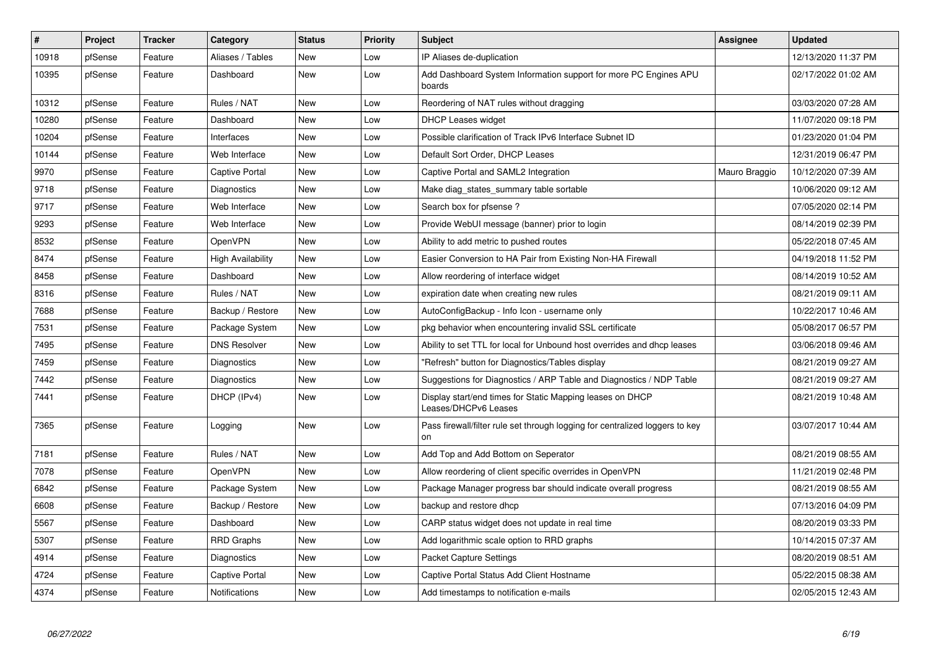| $\vert$ # | Project | <b>Tracker</b> | Category                 | <b>Status</b> | <b>Priority</b> | <b>Subject</b>                                                                     | Assignee      | <b>Updated</b>      |
|-----------|---------|----------------|--------------------------|---------------|-----------------|------------------------------------------------------------------------------------|---------------|---------------------|
| 10918     | pfSense | Feature        | Aliases / Tables         | <b>New</b>    | Low             | IP Aliases de-duplication                                                          |               | 12/13/2020 11:37 PM |
| 10395     | pfSense | Feature        | Dashboard                | <b>New</b>    | Low             | Add Dashboard System Information support for more PC Engines APU<br>boards         |               | 02/17/2022 01:02 AM |
| 10312     | pfSense | Feature        | Rules / NAT              | New           | Low             | Reordering of NAT rules without dragging                                           |               | 03/03/2020 07:28 AM |
| 10280     | pfSense | Feature        | Dashboard                | New           | Low             | <b>DHCP Leases widget</b>                                                          |               | 11/07/2020 09:18 PM |
| 10204     | pfSense | Feature        | Interfaces               | New           | Low             | Possible clarification of Track IPv6 Interface Subnet ID                           |               | 01/23/2020 01:04 PM |
| 10144     | pfSense | Feature        | Web Interface            | <b>New</b>    | Low             | Default Sort Order, DHCP Leases                                                    |               | 12/31/2019 06:47 PM |
| 9970      | pfSense | Feature        | Captive Portal           | <b>New</b>    | Low             | Captive Portal and SAML2 Integration                                               | Mauro Braggio | 10/12/2020 07:39 AM |
| 9718      | pfSense | Feature        | Diagnostics              | <b>New</b>    | Low             | Make diag_states_summary table sortable                                            |               | 10/06/2020 09:12 AM |
| 9717      | pfSense | Feature        | Web Interface            | New           | Low             | Search box for pfsense?                                                            |               | 07/05/2020 02:14 PM |
| 9293      | pfSense | Feature        | Web Interface            | <b>New</b>    | Low             | Provide WebUI message (banner) prior to login                                      |               | 08/14/2019 02:39 PM |
| 8532      | pfSense | Feature        | OpenVPN                  | New           | Low             | Ability to add metric to pushed routes                                             |               | 05/22/2018 07:45 AM |
| 8474      | pfSense | Feature        | <b>High Availability</b> | New           | Low             | Easier Conversion to HA Pair from Existing Non-HA Firewall                         |               | 04/19/2018 11:52 PM |
| 8458      | pfSense | Feature        | Dashboard                | New           | Low             | Allow reordering of interface widget                                               |               | 08/14/2019 10:52 AM |
| 8316      | pfSense | Feature        | Rules / NAT              | New           | Low             | expiration date when creating new rules                                            |               | 08/21/2019 09:11 AM |
| 7688      | pfSense | Feature        | Backup / Restore         | New           | Low             | AutoConfigBackup - Info Icon - username only                                       |               | 10/22/2017 10:46 AM |
| 7531      | pfSense | Feature        | Package System           | New           | Low             | pkg behavior when encountering invalid SSL certificate                             |               | 05/08/2017 06:57 PM |
| 7495      | pfSense | Feature        | <b>DNS Resolver</b>      | New           | Low             | Ability to set TTL for local for Unbound host overrides and dhcp leases            |               | 03/06/2018 09:46 AM |
| 7459      | pfSense | Feature        | Diagnostics              | <b>New</b>    | Low             | "Refresh" button for Diagnostics/Tables display                                    |               | 08/21/2019 09:27 AM |
| 7442      | pfSense | Feature        | Diagnostics              | New           | Low             | Suggestions for Diagnostics / ARP Table and Diagnostics / NDP Table                |               | 08/21/2019 09:27 AM |
| 7441      | pfSense | Feature        | DHCP (IPv4)              | <b>New</b>    | Low             | Display start/end times for Static Mapping leases on DHCP<br>Leases/DHCPv6 Leases  |               | 08/21/2019 10:48 AM |
| 7365      | pfSense | Feature        | Logging                  | <b>New</b>    | Low             | Pass firewall/filter rule set through logging for centralized loggers to key<br>on |               | 03/07/2017 10:44 AM |
| 7181      | pfSense | Feature        | Rules / NAT              | <b>New</b>    | Low             | Add Top and Add Bottom on Seperator                                                |               | 08/21/2019 08:55 AM |
| 7078      | pfSense | Feature        | OpenVPN                  | <b>New</b>    | Low             | Allow reordering of client specific overrides in OpenVPN                           |               | 11/21/2019 02:48 PM |
| 6842      | pfSense | Feature        | Package System           | New           | Low             | Package Manager progress bar should indicate overall progress                      |               | 08/21/2019 08:55 AM |
| 6608      | pfSense | Feature        | Backup / Restore         | <b>New</b>    | Low             | backup and restore dhcp                                                            |               | 07/13/2016 04:09 PM |
| 5567      | pfSense | Feature        | Dashboard                | <b>New</b>    | Low             | CARP status widget does not update in real time                                    |               | 08/20/2019 03:33 PM |
| 5307      | pfSense | Feature        | RRD Graphs               | New           | Low             | Add logarithmic scale option to RRD graphs                                         |               | 10/14/2015 07:37 AM |
| 4914      | pfSense | Feature        | Diagnostics              | New           | Low             | <b>Packet Capture Settings</b>                                                     |               | 08/20/2019 08:51 AM |
| 4724      | pfSense | Feature        | Captive Portal           | <b>New</b>    | Low             | Captive Portal Status Add Client Hostname                                          |               | 05/22/2015 08:38 AM |
| 4374      | pfSense | Feature        | <b>Notifications</b>     | New           | Low             | Add timestamps to notification e-mails                                             |               | 02/05/2015 12:43 AM |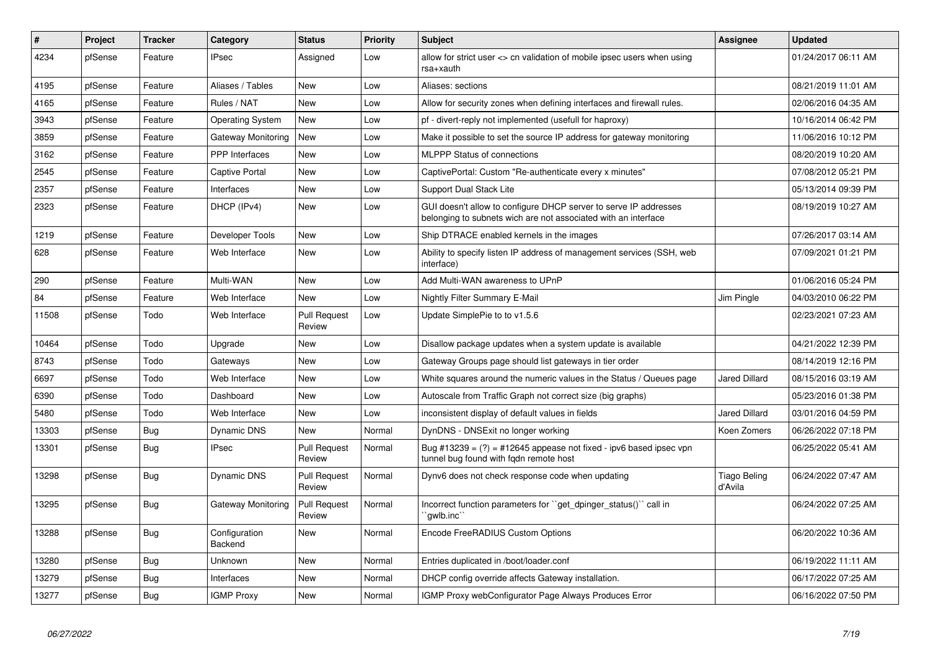| #     | Project | <b>Tracker</b> | Category                        | <b>Status</b>                 | <b>Priority</b> | <b>Subject</b>                                                                                                                     | <b>Assignee</b>         | <b>Updated</b>      |
|-------|---------|----------------|---------------------------------|-------------------------------|-----------------|------------------------------------------------------------------------------------------------------------------------------------|-------------------------|---------------------|
| 4234  | pfSense | Feature        | <b>IPsec</b>                    | Assigned                      | Low             | allow for strict user <> cn validation of mobile ipsec users when using<br>rsa+xauth                                               |                         | 01/24/2017 06:11 AM |
| 4195  | pfSense | Feature        | Aliases / Tables                | <b>New</b>                    | Low             | Aliases: sections                                                                                                                  |                         | 08/21/2019 11:01 AM |
| 4165  | pfSense | Feature        | Rules / NAT                     | <b>New</b>                    | Low             | Allow for security zones when defining interfaces and firewall rules.                                                              |                         | 02/06/2016 04:35 AM |
| 3943  | pfSense | Feature        | <b>Operating System</b>         | <b>New</b>                    | Low             | pf - divert-reply not implemented (usefull for haproxy)                                                                            |                         | 10/16/2014 06:42 PM |
| 3859  | pfSense | Feature        | Gateway Monitoring              | New                           | Low             | Make it possible to set the source IP address for gateway monitoring                                                               |                         | 11/06/2016 10:12 PM |
| 3162  | pfSense | Feature        | <b>PPP</b> Interfaces           | <b>New</b>                    | Low             | <b>MLPPP Status of connections</b>                                                                                                 |                         | 08/20/2019 10:20 AM |
| 2545  | pfSense | Feature        | Captive Portal                  | New                           | Low             | CaptivePortal: Custom "Re-authenticate every x minutes"                                                                            |                         | 07/08/2012 05:21 PM |
| 2357  | pfSense | Feature        | Interfaces                      | <b>New</b>                    | Low             | Support Dual Stack Lite                                                                                                            |                         | 05/13/2014 09:39 PM |
| 2323  | pfSense | Feature        | DHCP (IPv4)                     | <b>New</b>                    | Low             | GUI doesn't allow to configure DHCP server to serve IP addresses<br>belonging to subnets wich are not associated with an interface |                         | 08/19/2019 10:27 AM |
| 1219  | pfSense | Feature        | Developer Tools                 | <b>New</b>                    | Low             | Ship DTRACE enabled kernels in the images                                                                                          |                         | 07/26/2017 03:14 AM |
| 628   | pfSense | Feature        | Web Interface                   | <b>New</b>                    | Low             | Ability to specify listen IP address of management services (SSH, web<br>interface)                                                |                         | 07/09/2021 01:21 PM |
| 290   | pfSense | Feature        | Multi-WAN                       | <b>New</b>                    | Low             | Add Multi-WAN awareness to UPnP                                                                                                    |                         | 01/06/2016 05:24 PM |
| 84    | pfSense | Feature        | Web Interface                   | New                           | Low             | Nightly Filter Summary E-Mail                                                                                                      | Jim Pingle              | 04/03/2010 06:22 PM |
| 11508 | pfSense | Todo           | Web Interface                   | <b>Pull Request</b><br>Review | Low             | Update SimplePie to to v1.5.6                                                                                                      |                         | 02/23/2021 07:23 AM |
| 10464 | pfSense | Todo           | Upgrade                         | <b>New</b>                    | Low             | Disallow package updates when a system update is available                                                                         |                         | 04/21/2022 12:39 PM |
| 8743  | pfSense | Todo           | Gateways                        | <b>New</b>                    | Low             | Gateway Groups page should list gateways in tier order                                                                             |                         | 08/14/2019 12:16 PM |
| 6697  | pfSense | Todo           | Web Interface                   | New                           | Low             | White squares around the numeric values in the Status / Queues page                                                                | Jared Dillard           | 08/15/2016 03:19 AM |
| 6390  | pfSense | Todo           | Dashboard                       | New                           | Low             | Autoscale from Traffic Graph not correct size (big graphs)                                                                         |                         | 05/23/2016 01:38 PM |
| 5480  | pfSense | Todo           | Web Interface                   | <b>New</b>                    | Low             | inconsistent display of default values in fields                                                                                   | Jared Dillard           | 03/01/2016 04:59 PM |
| 13303 | pfSense | <b>Bug</b>     | Dynamic DNS                     | <b>New</b>                    | Normal          | DynDNS - DNSExit no longer working                                                                                                 | Koen Zomers             | 06/26/2022 07:18 PM |
| 13301 | pfSense | <b>Bug</b>     | <b>IPsec</b>                    | <b>Pull Request</b><br>Review | Normal          | Bug #13239 = $(?)$ = #12645 appease not fixed - ipv6 based ipsec vpn<br>tunnel bug found with fqdn remote host                     |                         | 06/25/2022 05:41 AM |
| 13298 | pfSense | <b>Bug</b>     | Dynamic DNS                     | <b>Pull Request</b><br>Review | Normal          | Dynv6 does not check response code when updating                                                                                   | Tiago Beling<br>d'Avila | 06/24/2022 07:47 AM |
| 13295 | pfSense | <b>Bug</b>     | <b>Gateway Monitoring</b>       | <b>Pull Request</b><br>Review | Normal          | Incorrect function parameters for "get_dpinger_status()" call in<br>`awlb.inc`                                                     |                         | 06/24/2022 07:25 AM |
| 13288 | pfSense | Bug            | Configuration<br><b>Backend</b> | <b>New</b>                    | Normal          | Encode FreeRADIUS Custom Options                                                                                                   |                         | 06/20/2022 10:36 AM |
| 13280 | pfSense | <b>Bug</b>     | Unknown                         | <b>New</b>                    | Normal          | Entries duplicated in /boot/loader.conf                                                                                            |                         | 06/19/2022 11:11 AM |
| 13279 | pfSense | <b>Bug</b>     | Interfaces                      | New                           | Normal          | DHCP config override affects Gateway installation.                                                                                 |                         | 06/17/2022 07:25 AM |
| 13277 | pfSense | Bug            | <b>IGMP Proxy</b>               | New                           | Normal          | IGMP Proxy webConfigurator Page Always Produces Error                                                                              |                         | 06/16/2022 07:50 PM |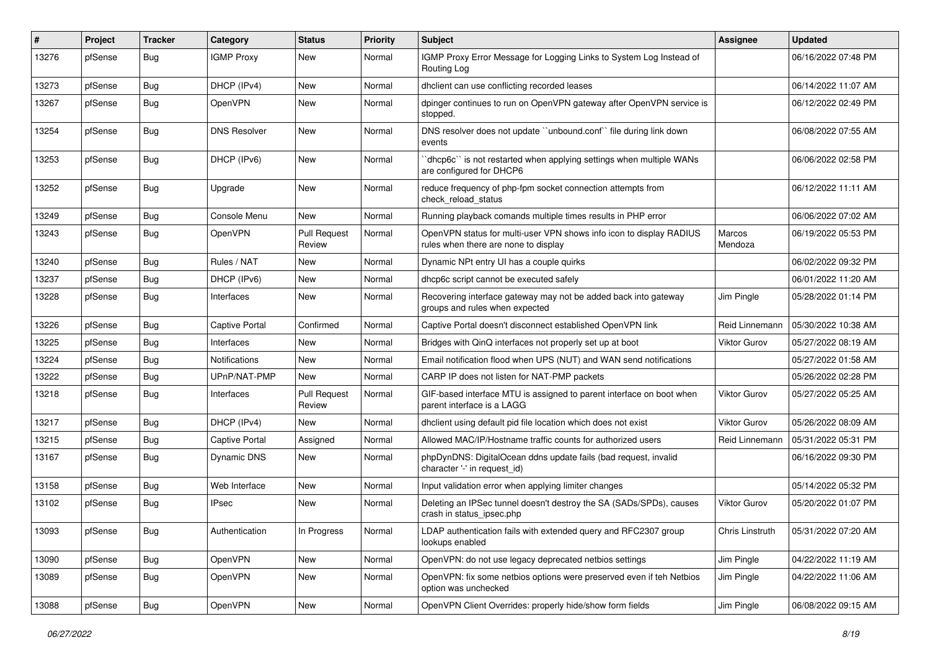| $\#$  | Project | <b>Tracker</b> | Category            | <b>Status</b>                 | <b>Priority</b> | Subject                                                                                                     | <b>Assignee</b>        | <b>Updated</b>      |
|-------|---------|----------------|---------------------|-------------------------------|-----------------|-------------------------------------------------------------------------------------------------------------|------------------------|---------------------|
| 13276 | pfSense | Bug            | <b>IGMP Proxy</b>   | New                           | Normal          | IGMP Proxy Error Message for Logging Links to System Log Instead of<br>Routing Log                          |                        | 06/16/2022 07:48 PM |
| 13273 | pfSense | Bug            | DHCP (IPv4)         | New                           | Normal          | dhclient can use conflicting recorded leases                                                                |                        | 06/14/2022 11:07 AM |
| 13267 | pfSense | Bug            | OpenVPN             | New                           | Normal          | dpinger continues to run on OpenVPN gateway after OpenVPN service is<br>stopped.                            |                        | 06/12/2022 02:49 PM |
| 13254 | pfSense | Bug            | <b>DNS Resolver</b> | <b>New</b>                    | Normal          | DNS resolver does not update "unbound.conf" file during link down<br>events                                 |                        | 06/08/2022 07:55 AM |
| 13253 | pfSense | <b>Bug</b>     | DHCP (IPv6)         | New                           | Normal          | 'dhcp6c'' is not restarted when applying settings when multiple WANs<br>are configured for DHCP6            |                        | 06/06/2022 02:58 PM |
| 13252 | pfSense | Bug            | Upgrade             | New                           | Normal          | reduce frequency of php-fpm socket connection attempts from<br>check reload status                          |                        | 06/12/2022 11:11 AM |
| 13249 | pfSense | <b>Bug</b>     | Console Menu        | <b>New</b>                    | Normal          | Running playback comands multiple times results in PHP error                                                |                        | 06/06/2022 07:02 AM |
| 13243 | pfSense | <b>Bug</b>     | OpenVPN             | <b>Pull Request</b><br>Review | Normal          | OpenVPN status for multi-user VPN shows info icon to display RADIUS<br>rules when there are none to display | Marcos<br>Mendoza      | 06/19/2022 05:53 PM |
| 13240 | pfSense | <b>Bug</b>     | Rules / NAT         | <b>New</b>                    | Normal          | Dynamic NPt entry UI has a couple quirks                                                                    |                        | 06/02/2022 09:32 PM |
| 13237 | pfSense | <b>Bug</b>     | DHCP (IPv6)         | <b>New</b>                    | Normal          | dhcp6c script cannot be executed safely                                                                     |                        | 06/01/2022 11:20 AM |
| 13228 | pfSense | <b>Bug</b>     | Interfaces          | New                           | Normal          | Recovering interface gateway may not be added back into gateway<br>groups and rules when expected           | Jim Pingle             | 05/28/2022 01:14 PM |
| 13226 | pfSense | <b>Bug</b>     | Captive Portal      | Confirmed                     | Normal          | Captive Portal doesn't disconnect established OpenVPN link                                                  | Reid Linnemann         | 05/30/2022 10:38 AM |
| 13225 | pfSense | <b>Bug</b>     | Interfaces          | New                           | Normal          | Bridges with QinQ interfaces not properly set up at boot                                                    | <b>Viktor Gurov</b>    | 05/27/2022 08:19 AM |
| 13224 | pfSense | Bug            | Notifications       | <b>New</b>                    | Normal          | Email notification flood when UPS (NUT) and WAN send notifications                                          |                        | 05/27/2022 01:58 AM |
| 13222 | pfSense | <b>Bug</b>     | UPnP/NAT-PMP        | New                           | Normal          | CARP IP does not listen for NAT-PMP packets                                                                 |                        | 05/26/2022 02:28 PM |
| 13218 | pfSense | <b>Bug</b>     | Interfaces          | <b>Pull Request</b><br>Review | Normal          | GIF-based interface MTU is assigned to parent interface on boot when<br>parent interface is a LAGG          | <b>Viktor Gurov</b>    | 05/27/2022 05:25 AM |
| 13217 | pfSense | <b>Bug</b>     | DHCP (IPv4)         | <b>New</b>                    | Normal          | dhclient using default pid file location which does not exist                                               | <b>Viktor Gurov</b>    | 05/26/2022 08:09 AM |
| 13215 | pfSense | <b>Bug</b>     | Captive Portal      | Assigned                      | Normal          | Allowed MAC/IP/Hostname traffic counts for authorized users                                                 | Reid Linnemann         | 05/31/2022 05:31 PM |
| 13167 | pfSense | <b>Bug</b>     | Dynamic DNS         | New                           | Normal          | phpDynDNS: DigitalOcean ddns update fails (bad request, invalid<br>character '-' in request_id)             |                        | 06/16/2022 09:30 PM |
| 13158 | pfSense | <b>Bug</b>     | Web Interface       | New                           | Normal          | Input validation error when applying limiter changes                                                        |                        | 05/14/2022 05:32 PM |
| 13102 | pfSense | <b>Bug</b>     | <b>IPsec</b>        | New                           | Normal          | Deleting an IPSec tunnel doesn't destroy the SA (SADs/SPDs), causes<br>crash in status_ipsec.php            | Viktor Gurov           | 05/20/2022 01:07 PM |
| 13093 | pfSense | Bug            | Authentication      | In Progress                   | Normal          | LDAP authentication fails with extended query and RFC2307 group<br>lookups enabled                          | <b>Chris Linstruth</b> | 05/31/2022 07:20 AM |
| 13090 | pfSense | <b>Bug</b>     | OpenVPN             | New                           | Normal          | OpenVPN: do not use legacy deprecated netbios settings                                                      | Jim Pingle             | 04/22/2022 11:19 AM |
| 13089 | pfSense | Bug            | OpenVPN             | New                           | Normal          | OpenVPN: fix some netbios options were preserved even if teh Netbios<br>option was unchecked                | Jim Pingle             | 04/22/2022 11:06 AM |
| 13088 | pfSense | <b>Bug</b>     | OpenVPN             | New                           | Normal          | OpenVPN Client Overrides: properly hide/show form fields                                                    | Jim Pingle             | 06/08/2022 09:15 AM |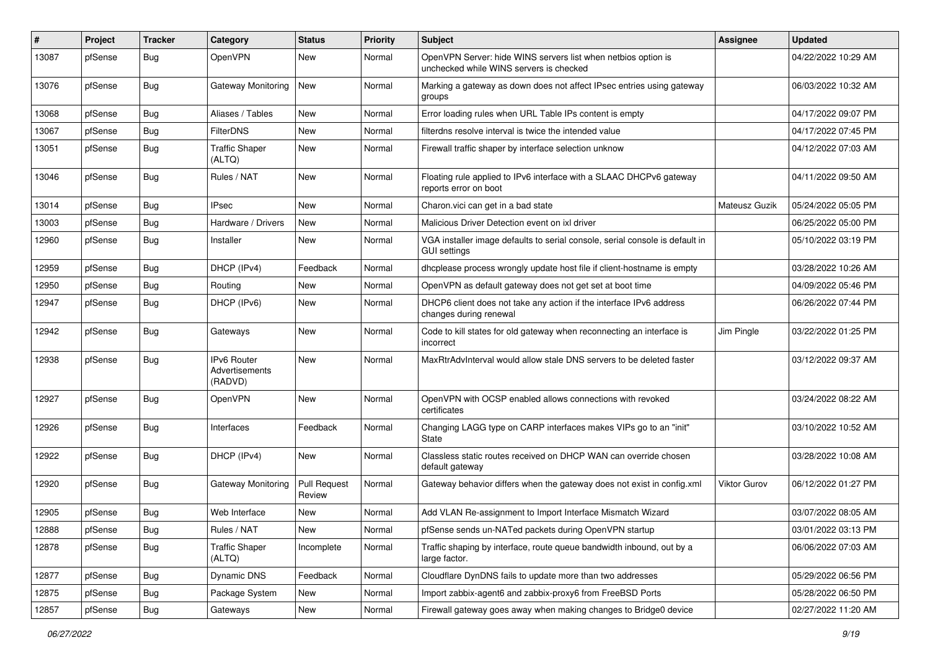| ∦     | Project | <b>Tracker</b> | Category                                        | <b>Status</b>                 | <b>Priority</b> | <b>Subject</b>                                                                                           | <b>Assignee</b> | <b>Updated</b>      |
|-------|---------|----------------|-------------------------------------------------|-------------------------------|-----------------|----------------------------------------------------------------------------------------------------------|-----------------|---------------------|
| 13087 | pfSense | Bug            | OpenVPN                                         | New                           | Normal          | OpenVPN Server: hide WINS servers list when netbios option is<br>unchecked while WINS servers is checked |                 | 04/22/2022 10:29 AM |
| 13076 | pfSense | Bug            | Gateway Monitoring                              | New                           | Normal          | Marking a gateway as down does not affect IPsec entries using gateway<br>groups                          |                 | 06/03/2022 10:32 AM |
| 13068 | pfSense | <b>Bug</b>     | Aliases / Tables                                | <b>New</b>                    | Normal          | Error loading rules when URL Table IPs content is empty                                                  |                 | 04/17/2022 09:07 PM |
| 13067 | pfSense | Bug            | <b>FilterDNS</b>                                | <b>New</b>                    | Normal          | filterdns resolve interval is twice the intended value                                                   |                 | 04/17/2022 07:45 PM |
| 13051 | pfSense | Bug            | <b>Traffic Shaper</b><br>(ALTQ)                 | <b>New</b>                    | Normal          | Firewall traffic shaper by interface selection unknow                                                    |                 | 04/12/2022 07:03 AM |
| 13046 | pfSense | Bug            | Rules / NAT                                     | New                           | Normal          | Floating rule applied to IPv6 interface with a SLAAC DHCPv6 gateway<br>reports error on boot             |                 | 04/11/2022 09:50 AM |
| 13014 | pfSense | Bug            | <b>IPsec</b>                                    | New                           | Normal          | Charon.vici can get in a bad state                                                                       | Mateusz Guzik   | 05/24/2022 05:05 PM |
| 13003 | pfSense | Bug            | Hardware / Drivers                              | <b>New</b>                    | Normal          | Malicious Driver Detection event on ixl driver                                                           |                 | 06/25/2022 05:00 PM |
| 12960 | pfSense | <b>Bug</b>     | Installer                                       | <b>New</b>                    | Normal          | VGA installer image defaults to serial console, serial console is default in<br><b>GUI settings</b>      |                 | 05/10/2022 03:19 PM |
| 12959 | pfSense | <b>Bug</b>     | DHCP (IPv4)                                     | Feedback                      | Normal          | dhcplease process wrongly update host file if client-hostname is empty                                   |                 | 03/28/2022 10:26 AM |
| 12950 | pfSense | <b>Bug</b>     | Routing                                         | New                           | Normal          | OpenVPN as default gateway does not get set at boot time                                                 |                 | 04/09/2022 05:46 PM |
| 12947 | pfSense | <b>Bug</b>     | DHCP (IPv6)                                     | New                           | Normal          | DHCP6 client does not take any action if the interface IPv6 address<br>changes during renewal            |                 | 06/26/2022 07:44 PM |
| 12942 | pfSense | Bug            | Gateways                                        | <b>New</b>                    | Normal          | Code to kill states for old gateway when reconnecting an interface is<br>incorrect                       | Jim Pingle      | 03/22/2022 01:25 PM |
| 12938 | pfSense | <b>Bug</b>     | <b>IPv6 Router</b><br>Advertisements<br>(RADVD) | <b>New</b>                    | Normal          | MaxRtrAdvInterval would allow stale DNS servers to be deleted faster                                     |                 | 03/12/2022 09:37 AM |
| 12927 | pfSense | <b>Bug</b>     | OpenVPN                                         | New                           | Normal          | OpenVPN with OCSP enabled allows connections with revoked<br>certificates                                |                 | 03/24/2022 08:22 AM |
| 12926 | pfSense | Bug            | Interfaces                                      | Feedback                      | Normal          | Changing LAGG type on CARP interfaces makes VIPs go to an "init"<br>State                                |                 | 03/10/2022 10:52 AM |
| 12922 | pfSense | Bug            | DHCP (IPv4)                                     | New                           | Normal          | Classless static routes received on DHCP WAN can override chosen<br>default gateway                      |                 | 03/28/2022 10:08 AM |
| 12920 | pfSense | Bug            | Gateway Monitoring                              | <b>Pull Request</b><br>Review | Normal          | Gateway behavior differs when the gateway does not exist in config.xml                                   | Viktor Gurov    | 06/12/2022 01:27 PM |
| 12905 | pfSense | Bug            | Web Interface                                   | New                           | Normal          | Add VLAN Re-assignment to Import Interface Mismatch Wizard                                               |                 | 03/07/2022 08:05 AM |
| 12888 | pfSense | Bug            | Rules / NAT                                     | New                           | Normal          | pfSense sends un-NATed packets during OpenVPN startup                                                    |                 | 03/01/2022 03:13 PM |
| 12878 | pfSense | <b>Bug</b>     | <b>Traffic Shaper</b><br>(ALTQ)                 | Incomplete                    | Normal          | Traffic shaping by interface, route queue bandwidth inbound, out by a<br>large factor.                   |                 | 06/06/2022 07:03 AM |
| 12877 | pfSense | Bug            | Dynamic DNS                                     | Feedback                      | Normal          | Cloudflare DynDNS fails to update more than two addresses                                                |                 | 05/29/2022 06:56 PM |
| 12875 | pfSense | <b>Bug</b>     | Package System                                  | New                           | Normal          | Import zabbix-agent6 and zabbix-proxy6 from FreeBSD Ports                                                |                 | 05/28/2022 06:50 PM |
| 12857 | pfSense | Bug            | Gateways                                        | New                           | Normal          | Firewall gateway goes away when making changes to Bridge0 device                                         |                 | 02/27/2022 11:20 AM |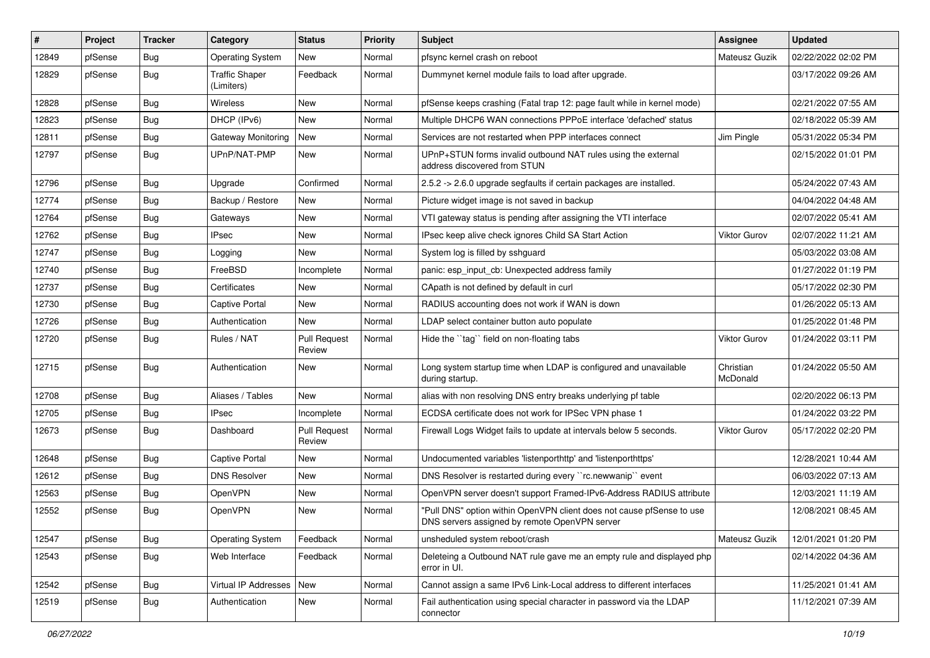| $\pmb{\#}$ | Project | <b>Tracker</b> | Category                            | <b>Status</b>                 | Priority | Subject                                                                                                                | Assignee              | <b>Updated</b>      |
|------------|---------|----------------|-------------------------------------|-------------------------------|----------|------------------------------------------------------------------------------------------------------------------------|-----------------------|---------------------|
| 12849      | pfSense | <b>Bug</b>     | <b>Operating System</b>             | New                           | Normal   | pfsync kernel crash on reboot                                                                                          | Mateusz Guzik         | 02/22/2022 02:02 PM |
| 12829      | pfSense | Bug            | <b>Traffic Shaper</b><br>(Limiters) | Feedback                      | Normal   | Dummynet kernel module fails to load after upgrade.                                                                    |                       | 03/17/2022 09:26 AM |
| 12828      | pfSense | Bug            | Wireless                            | New                           | Normal   | pfSense keeps crashing (Fatal trap 12: page fault while in kernel mode)                                                |                       | 02/21/2022 07:55 AM |
| 12823      | pfSense | <b>Bug</b>     | DHCP (IPv6)                         | New                           | Normal   | Multiple DHCP6 WAN connections PPPoE interface 'defached' status                                                       |                       | 02/18/2022 05:39 AM |
| 12811      | pfSense | Bug            | Gateway Monitoring                  | New                           | Normal   | Services are not restarted when PPP interfaces connect                                                                 | Jim Pingle            | 05/31/2022 05:34 PM |
| 12797      | pfSense | Bug            | UPnP/NAT-PMP                        | New                           | Normal   | UPnP+STUN forms invalid outbound NAT rules using the external<br>address discovered from STUN                          |                       | 02/15/2022 01:01 PM |
| 12796      | pfSense | <b>Bug</b>     | Upgrade                             | Confirmed                     | Normal   | 2.5.2 -> 2.6.0 upgrade segfaults if certain packages are installed.                                                    |                       | 05/24/2022 07:43 AM |
| 12774      | pfSense | <b>Bug</b>     | Backup / Restore                    | <b>New</b>                    | Normal   | Picture widget image is not saved in backup                                                                            |                       | 04/04/2022 04:48 AM |
| 12764      | pfSense | Bug            | Gateways                            | New                           | Normal   | VTI gateway status is pending after assigning the VTI interface                                                        |                       | 02/07/2022 05:41 AM |
| 12762      | pfSense | Bug            | <b>IPsec</b>                        | New                           | Normal   | IPsec keep alive check ignores Child SA Start Action                                                                   | Viktor Gurov          | 02/07/2022 11:21 AM |
| 12747      | pfSense | Bug            | Logging                             | New                           | Normal   | System log is filled by sshguard                                                                                       |                       | 05/03/2022 03:08 AM |
| 12740      | pfSense | <b>Bug</b>     | FreeBSD                             | Incomplete                    | Normal   | panic: esp input cb: Unexpected address family                                                                         |                       | 01/27/2022 01:19 PM |
| 12737      | pfSense | <b>Bug</b>     | Certificates                        | <b>New</b>                    | Normal   | CApath is not defined by default in curl                                                                               |                       | 05/17/2022 02:30 PM |
| 12730      | pfSense | Bug            | Captive Portal                      | New                           | Normal   | RADIUS accounting does not work if WAN is down                                                                         |                       | 01/26/2022 05:13 AM |
| 12726      | pfSense | <b>Bug</b>     | Authentication                      | New                           | Normal   | LDAP select container button auto populate                                                                             |                       | 01/25/2022 01:48 PM |
| 12720      | pfSense | <b>Bug</b>     | Rules / NAT                         | <b>Pull Request</b><br>Review | Normal   | Hide the "tag" field on non-floating tabs                                                                              | <b>Viktor Gurov</b>   | 01/24/2022 03:11 PM |
| 12715      | pfSense | Bug            | Authentication                      | New                           | Normal   | Long system startup time when LDAP is configured and unavailable<br>during startup.                                    | Christian<br>McDonald | 01/24/2022 05:50 AM |
| 12708      | pfSense | <b>Bug</b>     | Aliases / Tables                    | <b>New</b>                    | Normal   | alias with non resolving DNS entry breaks underlying pf table                                                          |                       | 02/20/2022 06:13 PM |
| 12705      | pfSense | <b>Bug</b>     | IPsec                               | Incomplete                    | Normal   | ECDSA certificate does not work for IPSec VPN phase 1                                                                  |                       | 01/24/2022 03:22 PM |
| 12673      | pfSense | <b>Bug</b>     | Dashboard                           | <b>Pull Request</b><br>Review | Normal   | Firewall Logs Widget fails to update at intervals below 5 seconds.                                                     | <b>Viktor Gurov</b>   | 05/17/2022 02:20 PM |
| 12648      | pfSense | Bug            | Captive Portal                      | New                           | Normal   | Undocumented variables 'listenporthttp' and 'listenporthttps'                                                          |                       | 12/28/2021 10:44 AM |
| 12612      | pfSense | Bug            | <b>DNS Resolver</b>                 | New                           | Normal   | DNS Resolver is restarted during every "rc.newwanip" event                                                             |                       | 06/03/2022 07:13 AM |
| 12563      | pfSense | <b>Bug</b>     | OpenVPN                             | New                           | Normal   | OpenVPN server doesn't support Framed-IPv6-Address RADIUS attribute                                                    |                       | 12/03/2021 11:19 AM |
| 12552      | pfSense | <b>Bug</b>     | OpenVPN                             | <b>New</b>                    | Normal   | "Pull DNS" option within OpenVPN client does not cause pfSense to use<br>DNS servers assigned by remote OpenVPN server |                       | 12/08/2021 08:45 AM |
| 12547      | pfSense | Bug            | <b>Operating System</b>             | Feedback                      | Normal   | unsheduled system reboot/crash                                                                                         | <b>Mateusz Guzik</b>  | 12/01/2021 01:20 PM |
| 12543      | pfSense | <b>Bug</b>     | Web Interface                       | Feedback                      | Normal   | Deleteing a Outbound NAT rule gave me an empty rule and displayed php<br>error in UI.                                  |                       | 02/14/2022 04:36 AM |
| 12542      | pfSense | Bug            | Virtual IP Addresses                | New                           | Normal   | Cannot assign a same IPv6 Link-Local address to different interfaces                                                   |                       | 11/25/2021 01:41 AM |
| 12519      | pfSense | <b>Bug</b>     | Authentication                      | New                           | Normal   | Fail authentication using special character in password via the LDAP<br>connector                                      |                       | 11/12/2021 07:39 AM |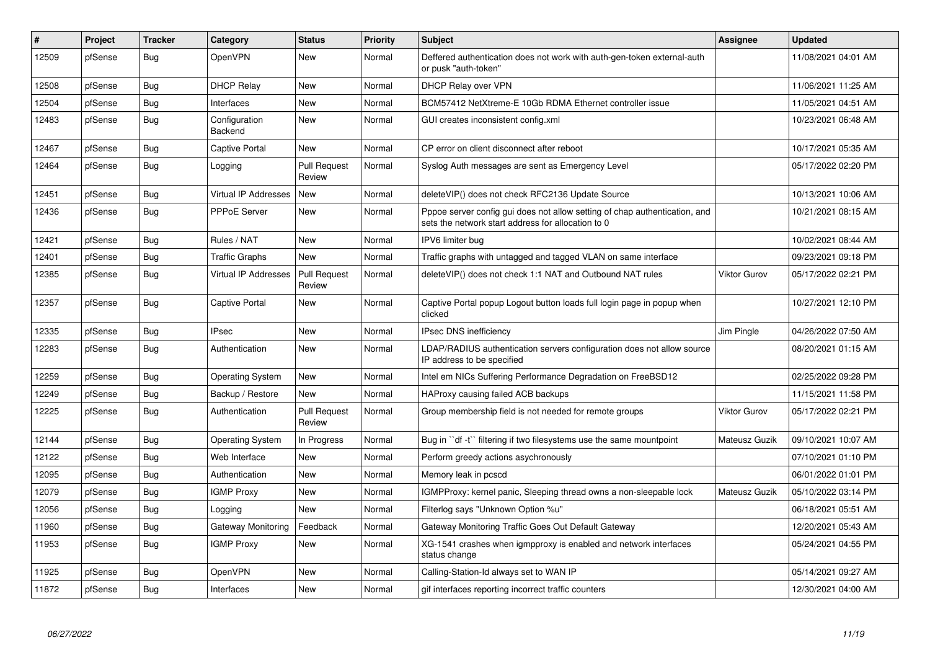| $\#$  | Project | <b>Tracker</b> | Category                    | <b>Status</b>                 | <b>Priority</b> | <b>Subject</b>                                                                                                                   | Assignee             | <b>Updated</b>      |
|-------|---------|----------------|-----------------------------|-------------------------------|-----------------|----------------------------------------------------------------------------------------------------------------------------------|----------------------|---------------------|
| 12509 | pfSense | <b>Bug</b>     | <b>OpenVPN</b>              | <b>New</b>                    | Normal          | Deffered authentication does not work with auth-gen-token external-auth<br>or pusk "auth-token"                                  |                      | 11/08/2021 04:01 AM |
| 12508 | pfSense | <b>Bug</b>     | <b>DHCP Relay</b>           | <b>New</b>                    | Normal          | DHCP Relay over VPN                                                                                                              |                      | 11/06/2021 11:25 AM |
| 12504 | pfSense | Bug            | Interfaces                  | <b>New</b>                    | Normal          | BCM57412 NetXtreme-E 10Gb RDMA Ethernet controller issue                                                                         |                      | 11/05/2021 04:51 AM |
| 12483 | pfSense | <b>Bug</b>     | Configuration<br>Backend    | <b>New</b>                    | Normal          | GUI creates inconsistent config.xml                                                                                              |                      | 10/23/2021 06:48 AM |
| 12467 | pfSense | <b>Bug</b>     | <b>Captive Portal</b>       | <b>New</b>                    | Normal          | CP error on client disconnect after reboot                                                                                       |                      | 10/17/2021 05:35 AM |
| 12464 | pfSense | <b>Bug</b>     | Logging                     | <b>Pull Request</b><br>Review | Normal          | Syslog Auth messages are sent as Emergency Level                                                                                 |                      | 05/17/2022 02:20 PM |
| 12451 | pfSense | Bug            | <b>Virtual IP Addresses</b> | New                           | Normal          | deleteVIP() does not check RFC2136 Update Source                                                                                 |                      | 10/13/2021 10:06 AM |
| 12436 | pfSense | <b>Bug</b>     | PPPoE Server                | <b>New</b>                    | Normal          | Pppoe server config gui does not allow setting of chap authentication, and<br>sets the network start address for allocation to 0 |                      | 10/21/2021 08:15 AM |
| 12421 | pfSense | Bug            | Rules / NAT                 | <b>New</b>                    | Normal          | IPV6 limiter bug                                                                                                                 |                      | 10/02/2021 08:44 AM |
| 12401 | pfSense | <b>Bug</b>     | <b>Traffic Graphs</b>       | <b>New</b>                    | Normal          | Traffic graphs with untagged and tagged VLAN on same interface                                                                   |                      | 09/23/2021 09:18 PM |
| 12385 | pfSense | Bug            | Virtual IP Addresses        | <b>Pull Request</b><br>Review | Normal          | deleteVIP() does not check 1:1 NAT and Outbound NAT rules                                                                        | <b>Viktor Gurov</b>  | 05/17/2022 02:21 PM |
| 12357 | pfSense | Bug            | Captive Portal              | <b>New</b>                    | Normal          | Captive Portal popup Logout button loads full login page in popup when<br>clicked                                                |                      | 10/27/2021 12:10 PM |
| 12335 | pfSense | <b>Bug</b>     | <b>IPsec</b>                | New                           | Normal          | <b>IPsec DNS inefficiency</b>                                                                                                    | Jim Pingle           | 04/26/2022 07:50 AM |
| 12283 | pfSense | <b>Bug</b>     | Authentication              | <b>New</b>                    | Normal          | LDAP/RADIUS authentication servers configuration does not allow source<br>IP address to be specified                             |                      | 08/20/2021 01:15 AM |
| 12259 | pfSense | Bug            | <b>Operating System</b>     | <b>New</b>                    | Normal          | Intel em NICs Suffering Performance Degradation on FreeBSD12                                                                     |                      | 02/25/2022 09:28 PM |
| 12249 | pfSense | <b>Bug</b>     | Backup / Restore            | <b>New</b>                    | Normal          | HAProxy causing failed ACB backups                                                                                               |                      | 11/15/2021 11:58 PM |
| 12225 | pfSense | Bug            | Authentication              | <b>Pull Request</b><br>Review | Normal          | Group membership field is not needed for remote groups                                                                           | <b>Viktor Gurov</b>  | 05/17/2022 02:21 PM |
| 12144 | pfSense | Bug            | <b>Operating System</b>     | In Progress                   | Normal          | Bug in "df -t" filtering if two filesystems use the same mountpoint                                                              | <b>Mateusz Guzik</b> | 09/10/2021 10:07 AM |
| 12122 | pfSense | Bug            | Web Interface               | New                           | Normal          | Perform greedy actions asychronously                                                                                             |                      | 07/10/2021 01:10 PM |
| 12095 | pfSense | Bug            | Authentication              | <b>New</b>                    | Normal          | Memory leak in pcscd                                                                                                             |                      | 06/01/2022 01:01 PM |
| 12079 | pfSense | <b>Bug</b>     | <b>IGMP Proxy</b>           | <b>New</b>                    | Normal          | IGMPProxy: kernel panic, Sleeping thread owns a non-sleepable lock                                                               | <b>Mateusz Guzik</b> | 05/10/2022 03:14 PM |
| 12056 | pfSense | <b>Bug</b>     | Logging                     | <b>New</b>                    | Normal          | Filterlog says "Unknown Option %u"                                                                                               |                      | 06/18/2021 05:51 AM |
| 11960 | pfSense | <b>Bug</b>     | Gateway Monitoring          | Feedback                      | Normal          | Gateway Monitoring Traffic Goes Out Default Gateway                                                                              |                      | 12/20/2021 05:43 AM |
| 11953 | pfSense | <b>Bug</b>     | <b>IGMP Proxy</b>           | New                           | Normal          | XG-1541 crashes when igmpproxy is enabled and network interfaces<br>status change                                                |                      | 05/24/2021 04:55 PM |
| 11925 | pfSense | <b>Bug</b>     | <b>OpenVPN</b>              | <b>New</b>                    | Normal          | Calling-Station-Id always set to WAN IP                                                                                          |                      | 05/14/2021 09:27 AM |
| 11872 | pfSense | Bug            | Interfaces                  | New                           | Normal          | gif interfaces reporting incorrect traffic counters                                                                              |                      | 12/30/2021 04:00 AM |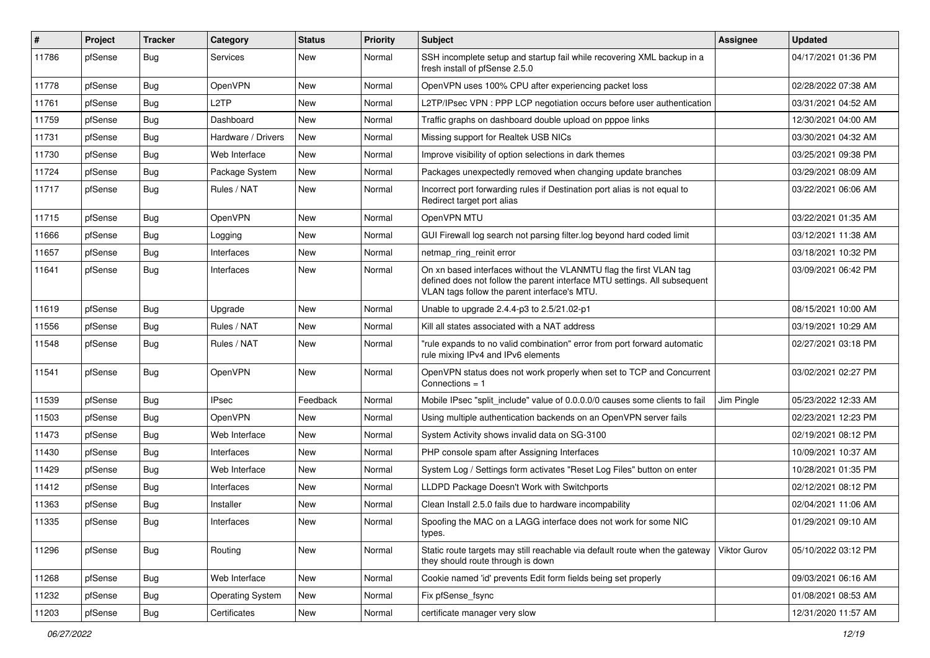| #     | Project | <b>Tracker</b> | Category                | <b>Status</b> | <b>Priority</b> | <b>Subject</b>                                                                                                                                                                                  | <b>Assignee</b> | <b>Updated</b>      |
|-------|---------|----------------|-------------------------|---------------|-----------------|-------------------------------------------------------------------------------------------------------------------------------------------------------------------------------------------------|-----------------|---------------------|
| 11786 | pfSense | <b>Bug</b>     | Services                | New           | Normal          | SSH incomplete setup and startup fail while recovering XML backup in a<br>fresh install of pfSense 2.5.0                                                                                        |                 | 04/17/2021 01:36 PM |
| 11778 | pfSense | Bug            | <b>OpenVPN</b>          | New           | Normal          | OpenVPN uses 100% CPU after experiencing packet loss                                                                                                                                            |                 | 02/28/2022 07:38 AM |
| 11761 | pfSense | <b>Bug</b>     | L2TP                    | New           | Normal          | L2TP/IPsec VPN : PPP LCP negotiation occurs before user authentication                                                                                                                          |                 | 03/31/2021 04:52 AM |
| 11759 | pfSense | Bug            | Dashboard               | New           | Normal          | Traffic graphs on dashboard double upload on pppoe links                                                                                                                                        |                 | 12/30/2021 04:00 AM |
| 11731 | pfSense | <b>Bug</b>     | Hardware / Drivers      | New           | Normal          | Missing support for Realtek USB NICs                                                                                                                                                            |                 | 03/30/2021 04:32 AM |
| 11730 | pfSense | Bug            | Web Interface           | New           | Normal          | Improve visibility of option selections in dark themes                                                                                                                                          |                 | 03/25/2021 09:38 PM |
| 11724 | pfSense | Bug            | Package System          | New           | Normal          | Packages unexpectedly removed when changing update branches                                                                                                                                     |                 | 03/29/2021 08:09 AM |
| 11717 | pfSense | <b>Bug</b>     | Rules / NAT             | New           | Normal          | Incorrect port forwarding rules if Destination port alias is not equal to<br>Redirect target port alias                                                                                         |                 | 03/22/2021 06:06 AM |
| 11715 | pfSense | Bug            | OpenVPN                 | New           | Normal          | OpenVPN MTU                                                                                                                                                                                     |                 | 03/22/2021 01:35 AM |
| 11666 | pfSense | <b>Bug</b>     | Logging                 | New           | Normal          | GUI Firewall log search not parsing filter.log beyond hard coded limit                                                                                                                          |                 | 03/12/2021 11:38 AM |
| 11657 | pfSense | Bug            | Interfaces              | New           | Normal          | netmap_ring_reinit error                                                                                                                                                                        |                 | 03/18/2021 10:32 PM |
| 11641 | pfSense | <b>Bug</b>     | Interfaces              | New           | Normal          | On xn based interfaces without the VLANMTU flag the first VLAN tag<br>defined does not follow the parent interface MTU settings. All subsequent<br>VLAN tags follow the parent interface's MTU. |                 | 03/09/2021 06:42 PM |
| 11619 | pfSense | Bug            | Upgrade                 | New           | Normal          | Unable to upgrade 2.4.4-p3 to 2.5/21.02-p1                                                                                                                                                      |                 | 08/15/2021 10:00 AM |
| 11556 | pfSense | Bug            | Rules / NAT             | New           | Normal          | Kill all states associated with a NAT address                                                                                                                                                   |                 | 03/19/2021 10:29 AM |
| 11548 | pfSense | Bug            | Rules / NAT             | New           | Normal          | "rule expands to no valid combination" error from port forward automatic<br>rule mixing IPv4 and IPv6 elements                                                                                  |                 | 02/27/2021 03:18 PM |
| 11541 | pfSense | Bug            | OpenVPN                 | New           | Normal          | OpenVPN status does not work properly when set to TCP and Concurrent<br>Connections $= 1$                                                                                                       |                 | 03/02/2021 02:27 PM |
| 11539 | pfSense | Bug            | <b>IPsec</b>            | Feedback      | Normal          | Mobile IPsec "split_include" value of 0.0.0.0/0 causes some clients to fail                                                                                                                     | Jim Pingle      | 05/23/2022 12:33 AM |
| 11503 | pfSense | Bug            | OpenVPN                 | New           | Normal          | Using multiple authentication backends on an OpenVPN server fails                                                                                                                               |                 | 02/23/2021 12:23 PM |
| 11473 | pfSense | <b>Bug</b>     | Web Interface           | New           | Normal          | System Activity shows invalid data on SG-3100                                                                                                                                                   |                 | 02/19/2021 08:12 PM |
| 11430 | pfSense | Bug            | Interfaces              | <b>New</b>    | Normal          | PHP console spam after Assigning Interfaces                                                                                                                                                     |                 | 10/09/2021 10:37 AM |
| 11429 | pfSense | <b>Bug</b>     | Web Interface           | New           | Normal          | System Log / Settings form activates "Reset Log Files" button on enter                                                                                                                          |                 | 10/28/2021 01:35 PM |
| 11412 | pfSense | <b>Bug</b>     | Interfaces              | New           | Normal          | LLDPD Package Doesn't Work with Switchports                                                                                                                                                     |                 | 02/12/2021 08:12 PM |
| 11363 | pfSense | <b>Bug</b>     | Installer               | New           | Normal          | Clean Install 2.5.0 fails due to hardware incompability                                                                                                                                         |                 | 02/04/2021 11:06 AM |
| 11335 | pfSense | I Bug          | Interfaces              | New           | Normal          | Spoofing the MAC on a LAGG interface does not work for some NIC<br>types.                                                                                                                       |                 | 01/29/2021 09:10 AM |
| 11296 | pfSense | <b>Bug</b>     | Routing                 | New           | Normal          | Static route targets may still reachable via default route when the gateway<br>they should route through is down                                                                                | Viktor Gurov    | 05/10/2022 03:12 PM |
| 11268 | pfSense | <b>Bug</b>     | Web Interface           | New           | Normal          | Cookie named 'id' prevents Edit form fields being set properly                                                                                                                                  |                 | 09/03/2021 06:16 AM |
| 11232 | pfSense | <b>Bug</b>     | <b>Operating System</b> | New           | Normal          | Fix pfSense_fsync                                                                                                                                                                               |                 | 01/08/2021 08:53 AM |
| 11203 | pfSense | Bug            | Certificates            | New           | Normal          | certificate manager very slow                                                                                                                                                                   |                 | 12/31/2020 11:57 AM |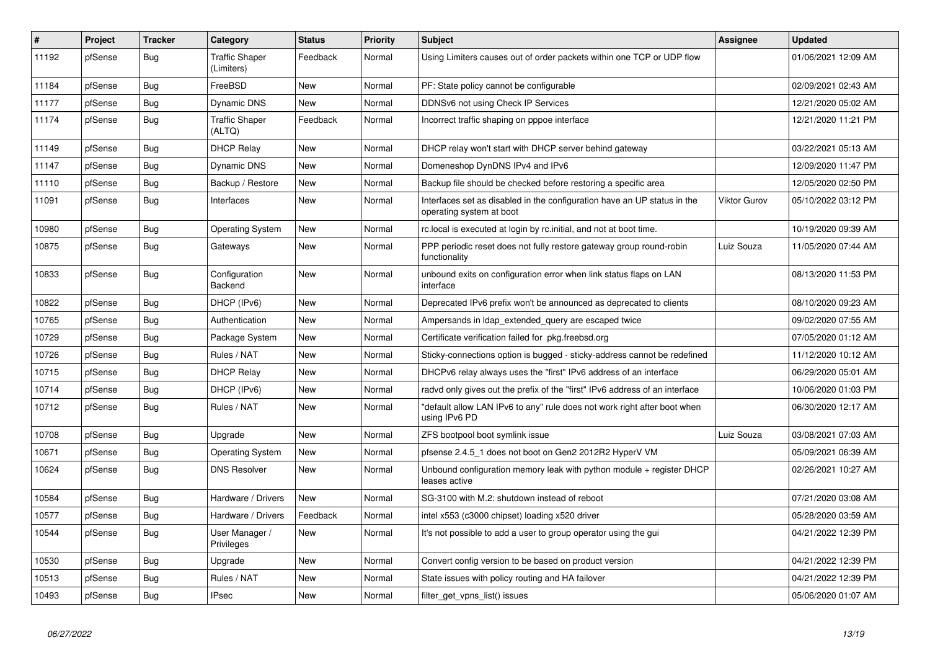| #     | <b>Project</b> | <b>Tracker</b> | Category                        | <b>Status</b> | <b>Priority</b> | <b>Subject</b>                                                                                       | <b>Assignee</b>     | <b>Updated</b>      |
|-------|----------------|----------------|---------------------------------|---------------|-----------------|------------------------------------------------------------------------------------------------------|---------------------|---------------------|
| 11192 | pfSense        | Bug            | Traffic Shaper<br>(Limiters)    | Feedback      | Normal          | Using Limiters causes out of order packets within one TCP or UDP flow                                |                     | 01/06/2021 12:09 AM |
| 11184 | pfSense        | <b>Bug</b>     | FreeBSD                         | <b>New</b>    | Normal          | PF: State policy cannot be configurable                                                              |                     | 02/09/2021 02:43 AM |
| 11177 | pfSense        | <b>Bug</b>     | <b>Dynamic DNS</b>              | <b>New</b>    | Normal          | DDNSv6 not using Check IP Services                                                                   |                     | 12/21/2020 05:02 AM |
| 11174 | pfSense        | <b>Bug</b>     | <b>Traffic Shaper</b><br>(ALTQ) | Feedback      | Normal          | Incorrect traffic shaping on pppoe interface                                                         |                     | 12/21/2020 11:21 PM |
| 11149 | pfSense        | Bug            | <b>DHCP Relay</b>               | New           | Normal          | DHCP relay won't start with DHCP server behind gateway                                               |                     | 03/22/2021 05:13 AM |
| 11147 | pfSense        | <b>Bug</b>     | Dynamic DNS                     | New           | Normal          | Domeneshop DynDNS IPv4 and IPv6                                                                      |                     | 12/09/2020 11:47 PM |
| 11110 | pfSense        | <b>Bug</b>     | Backup / Restore                | New           | Normal          | Backup file should be checked before restoring a specific area                                       |                     | 12/05/2020 02:50 PM |
| 11091 | pfSense        | <b>Bug</b>     | Interfaces                      | <b>New</b>    | Normal          | Interfaces set as disabled in the configuration have an UP status in the<br>operating system at boot | <b>Viktor Gurov</b> | 05/10/2022 03:12 PM |
| 10980 | pfSense        | <b>Bug</b>     | Operating System                | New           | Normal          | rc.local is executed at login by rc.initial, and not at boot time.                                   |                     | 10/19/2020 09:39 AM |
| 10875 | pfSense        | Bug            | Gateways                        | <b>New</b>    | Normal          | PPP periodic reset does not fully restore gateway group round-robin<br>functionality                 | Luiz Souza          | 11/05/2020 07:44 AM |
| 10833 | pfSense        | Bug            | Configuration<br><b>Backend</b> | New           | Normal          | unbound exits on configuration error when link status flaps on LAN<br>interface                      |                     | 08/13/2020 11:53 PM |
| 10822 | pfSense        | Bug            | DHCP (IPv6)                     | <b>New</b>    | Normal          | Deprecated IPv6 prefix won't be announced as deprecated to clients                                   |                     | 08/10/2020 09:23 AM |
| 10765 | pfSense        | Bug            | Authentication                  | <b>New</b>    | Normal          | Ampersands in Idap_extended_query are escaped twice                                                  |                     | 09/02/2020 07:55 AM |
| 10729 | pfSense        | Bug            | Package System                  | New           | Normal          | Certificate verification failed for pkg.freebsd.org                                                  |                     | 07/05/2020 01:12 AM |
| 10726 | pfSense        | Bug            | Rules / NAT                     | <b>New</b>    | Normal          | Sticky-connections option is bugged - sticky-address cannot be redefined                             |                     | 11/12/2020 10:12 AM |
| 10715 | pfSense        | <b>Bug</b>     | <b>DHCP Relay</b>               | New           | Normal          | DHCPv6 relay always uses the "first" IPv6 address of an interface                                    |                     | 06/29/2020 05:01 AM |
| 10714 | pfSense        | <b>Bug</b>     | DHCP (IPv6)                     | New           | Normal          | radvd only gives out the prefix of the "first" IPv6 address of an interface                          |                     | 10/06/2020 01:03 PM |
| 10712 | pfSense        | Bug            | Rules / NAT                     | <b>New</b>    | Normal          | "default allow LAN IPv6 to any" rule does not work right after boot when<br>using IPv6 PD            |                     | 06/30/2020 12:17 AM |
| 10708 | pfSense        | Bug            | Upgrade                         | New           | Normal          | ZFS bootpool boot symlink issue                                                                      | Luiz Souza          | 03/08/2021 07:03 AM |
| 10671 | pfSense        | <b>Bug</b>     | <b>Operating System</b>         | <b>New</b>    | Normal          | pfsense 2.4.5 1 does not boot on Gen2 2012R2 HyperV VM                                               |                     | 05/09/2021 06:39 AM |
| 10624 | pfSense        | <b>Bug</b>     | <b>DNS Resolver</b>             | <b>New</b>    | Normal          | Unbound configuration memory leak with python module $+$ register DHCP<br>leases active              |                     | 02/26/2021 10:27 AM |
| 10584 | pfSense        | Bug            | Hardware / Drivers              | <b>New</b>    | Normal          | SG-3100 with M.2: shutdown instead of reboot                                                         |                     | 07/21/2020 03:08 AM |
| 10577 | pfSense        | <b>Bug</b>     | Hardware / Drivers              | Feedback      | Normal          | intel x553 (c3000 chipset) loading x520 driver                                                       |                     | 05/28/2020 03:59 AM |
| 10544 | pfSense        | Bug            | User Manager /<br>Privileges    | New           | Normal          | It's not possible to add a user to group operator using the gui                                      |                     | 04/21/2022 12:39 PM |
| 10530 | pfSense        | Bug            | Upgrade                         | New           | Normal          | Convert config version to be based on product version                                                |                     | 04/21/2022 12:39 PM |
| 10513 | pfSense        | <b>Bug</b>     | Rules / NAT                     | New           | Normal          | State issues with policy routing and HA failover                                                     |                     | 04/21/2022 12:39 PM |
| 10493 | pfSense        | <b>Bug</b>     | <b>IPsec</b>                    | New           | Normal          | filter get vpns list() issues                                                                        |                     | 05/06/2020 01:07 AM |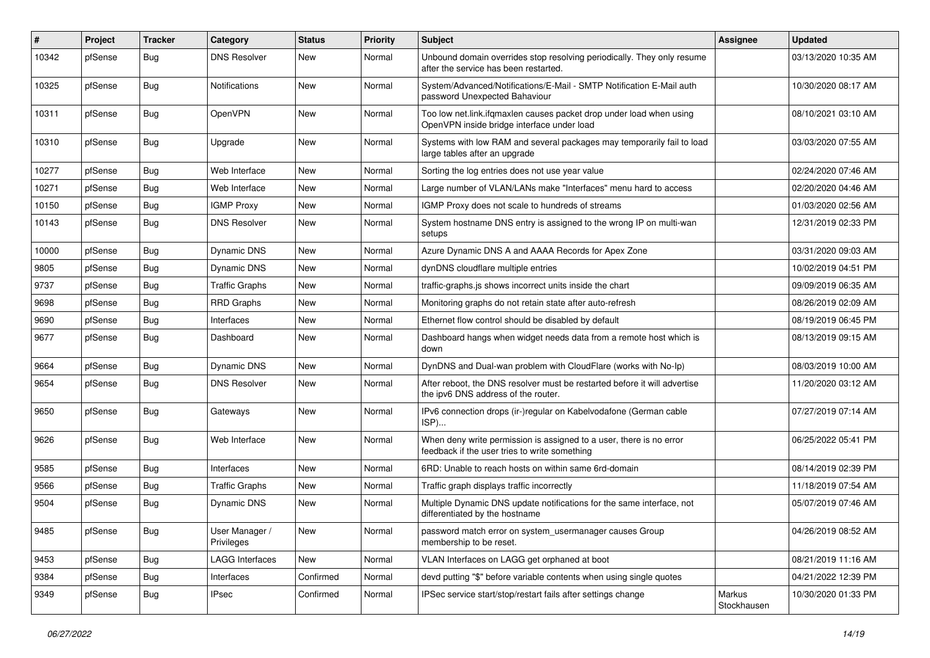| $\#$  | Project | <b>Tracker</b> | Category                     | <b>Status</b> | <b>Priority</b> | <b>Subject</b>                                                                                                       | <b>Assignee</b>       | <b>Updated</b>      |
|-------|---------|----------------|------------------------------|---------------|-----------------|----------------------------------------------------------------------------------------------------------------------|-----------------------|---------------------|
| 10342 | pfSense | Bug            | <b>DNS Resolver</b>          | <b>New</b>    | Normal          | Unbound domain overrides stop resolving periodically. They only resume<br>after the service has been restarted.      |                       | 03/13/2020 10:35 AM |
| 10325 | pfSense | <b>Bug</b>     | <b>Notifications</b>         | <b>New</b>    | Normal          | System/Advanced/Notifications/E-Mail - SMTP Notification E-Mail auth<br>password Unexpected Bahaviour                |                       | 10/30/2020 08:17 AM |
| 10311 | pfSense | <b>Bug</b>     | OpenVPN                      | <b>New</b>    | Normal          | Too low net.link.ifqmaxlen causes packet drop under load when using<br>OpenVPN inside bridge interface under load    |                       | 08/10/2021 03:10 AM |
| 10310 | pfSense | <b>Bug</b>     | Upgrade                      | <b>New</b>    | Normal          | Systems with low RAM and several packages may temporarily fail to load<br>large tables after an upgrade              |                       | 03/03/2020 07:55 AM |
| 10277 | pfSense | Bug            | Web Interface                | <b>New</b>    | Normal          | Sorting the log entries does not use year value                                                                      |                       | 02/24/2020 07:46 AM |
| 10271 | pfSense | <b>Bug</b>     | Web Interface                | <b>New</b>    | Normal          | Large number of VLAN/LANs make "Interfaces" menu hard to access                                                      |                       | 02/20/2020 04:46 AM |
| 10150 | pfSense | Bug            | <b>IGMP Proxy</b>            | <b>New</b>    | Normal          | IGMP Proxy does not scale to hundreds of streams                                                                     |                       | 01/03/2020 02:56 AM |
| 10143 | pfSense | <b>Bug</b>     | <b>DNS Resolver</b>          | New           | Normal          | System hostname DNS entry is assigned to the wrong IP on multi-wan<br>setups                                         |                       | 12/31/2019 02:33 PM |
| 10000 | pfSense | Bug            | Dynamic DNS                  | New           | Normal          | Azure Dynamic DNS A and AAAA Records for Apex Zone                                                                   |                       | 03/31/2020 09:03 AM |
| 9805  | pfSense | <b>Bug</b>     | Dynamic DNS                  | <b>New</b>    | Normal          | dynDNS cloudflare multiple entries                                                                                   |                       | 10/02/2019 04:51 PM |
| 9737  | pfSense | <b>Bug</b>     | <b>Traffic Graphs</b>        | <b>New</b>    | Normal          | traffic-graphs.js shows incorrect units inside the chart                                                             |                       | 09/09/2019 06:35 AM |
| 9698  | pfSense | <b>Bug</b>     | <b>RRD Graphs</b>            | New           | Normal          | Monitoring graphs do not retain state after auto-refresh                                                             |                       | 08/26/2019 02:09 AM |
| 9690  | pfSense | <b>Bug</b>     | Interfaces                   | <b>New</b>    | Normal          | Ethernet flow control should be disabled by default                                                                  |                       | 08/19/2019 06:45 PM |
| 9677  | pfSense | Bug            | Dashboard                    | New           | Normal          | Dashboard hangs when widget needs data from a remote host which is<br>down                                           |                       | 08/13/2019 09:15 AM |
| 9664  | pfSense | Bug            | <b>Dynamic DNS</b>           | <b>New</b>    | Normal          | DynDNS and Dual-wan problem with CloudFlare (works with No-Ip)                                                       |                       | 08/03/2019 10:00 AM |
| 9654  | pfSense | <b>Bug</b>     | <b>DNS Resolver</b>          | New           | Normal          | After reboot, the DNS resolver must be restarted before it will advertise<br>the ipv6 DNS address of the router.     |                       | 11/20/2020 03:12 AM |
| 9650  | pfSense | <b>Bug</b>     | Gateways                     | New           | Normal          | IPv6 connection drops (ir-)regular on Kabelvodafone (German cable<br>ISP)                                            |                       | 07/27/2019 07:14 AM |
| 9626  | pfSense | <b>Bug</b>     | Web Interface                | <b>New</b>    | Normal          | When deny write permission is assigned to a user, there is no error<br>feedback if the user tries to write something |                       | 06/25/2022 05:41 PM |
| 9585  | pfSense | <b>Bug</b>     | Interfaces                   | New           | Normal          | 6RD: Unable to reach hosts on within same 6rd-domain                                                                 |                       | 08/14/2019 02:39 PM |
| 9566  | pfSense | Bug            | <b>Traffic Graphs</b>        | New           | Normal          | Traffic graph displays traffic incorrectly                                                                           |                       | 11/18/2019 07:54 AM |
| 9504  | pfSense | <b>Bug</b>     | Dynamic DNS                  | New           | Normal          | Multiple Dynamic DNS update notifications for the same interface, not<br>differentiated by the hostname              |                       | 05/07/2019 07:46 AM |
| 9485  | pfSense | Bug            | User Manager /<br>Privileges | New           | Normal          | password match error on system usermanager causes Group<br>membership to be reset.                                   |                       | 04/26/2019 08:52 AM |
| 9453  | pfSense | Bug            | <b>LAGG Interfaces</b>       | New           | Normal          | VLAN Interfaces on LAGG get orphaned at boot                                                                         |                       | 08/21/2019 11:16 AM |
| 9384  | pfSense | <b>Bug</b>     | Interfaces                   | Confirmed     | Normal          | devd putting "\$" before variable contents when using single quotes                                                  |                       | 04/21/2022 12:39 PM |
| 9349  | pfSense | <b>Bug</b>     | <b>IPsec</b>                 | Confirmed     | Normal          | IPSec service start/stop/restart fails after settings change                                                         | Markus<br>Stockhausen | 10/30/2020 01:33 PM |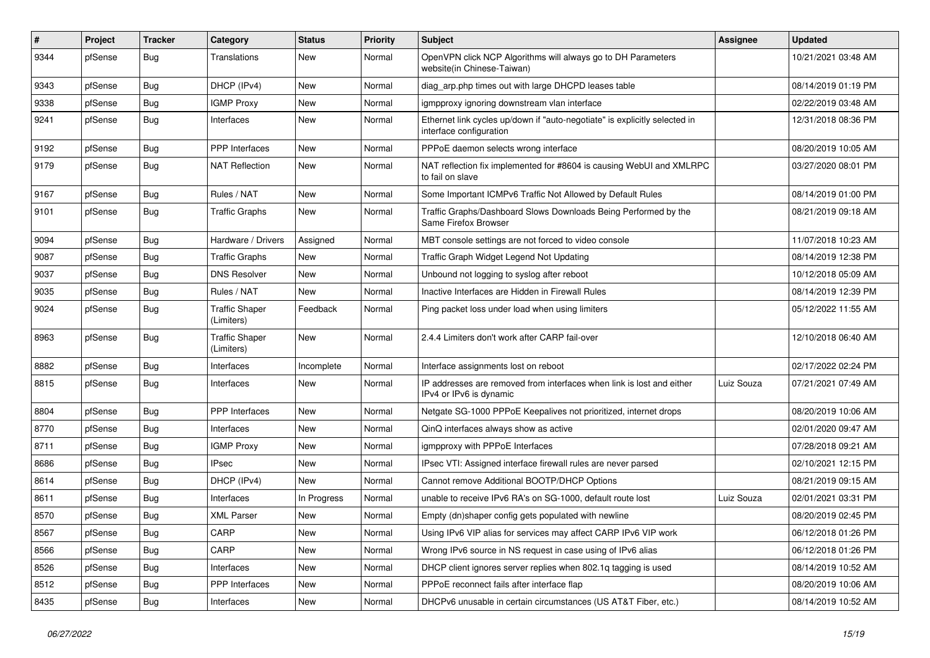| $\vert$ # | Project | <b>Tracker</b> | Category                            | <b>Status</b> | <b>Priority</b> | <b>Subject</b>                                                                                        | <b>Assignee</b> | <b>Updated</b>      |
|-----------|---------|----------------|-------------------------------------|---------------|-----------------|-------------------------------------------------------------------------------------------------------|-----------------|---------------------|
| 9344      | pfSense | Bug            | <b>Translations</b>                 | New           | Normal          | OpenVPN click NCP Algorithms will always go to DH Parameters<br>website(in Chinese-Taiwan)            |                 | 10/21/2021 03:48 AM |
| 9343      | pfSense | Bug            | DHCP (IPv4)                         | New           | Normal          | diag_arp.php times out with large DHCPD leases table                                                  |                 | 08/14/2019 01:19 PM |
| 9338      | pfSense | Bug            | <b>IGMP Proxy</b>                   | New           | Normal          | igmpproxy ignoring downstream vlan interface                                                          |                 | 02/22/2019 03:48 AM |
| 9241      | pfSense | Bug            | Interfaces                          | <b>New</b>    | Normal          | Ethernet link cycles up/down if "auto-negotiate" is explicitly selected in<br>interface configuration |                 | 12/31/2018 08:36 PM |
| 9192      | pfSense | <b>Bug</b>     | <b>PPP</b> Interfaces               | <b>New</b>    | Normal          | PPPoE daemon selects wrong interface                                                                  |                 | 08/20/2019 10:05 AM |
| 9179      | pfSense | Bug            | <b>NAT Reflection</b>               | New           | Normal          | NAT reflection fix implemented for #8604 is causing WebUI and XMLRPC<br>to fail on slave              |                 | 03/27/2020 08:01 PM |
| 9167      | pfSense | Bug            | Rules / NAT                         | <b>New</b>    | Normal          | Some Important ICMPv6 Traffic Not Allowed by Default Rules                                            |                 | 08/14/2019 01:00 PM |
| 9101      | pfSense | <b>Bug</b>     | <b>Traffic Graphs</b>               | New           | Normal          | Traffic Graphs/Dashboard Slows Downloads Being Performed by the<br>Same Firefox Browser               |                 | 08/21/2019 09:18 AM |
| 9094      | pfSense | <b>Bug</b>     | Hardware / Drivers                  | Assigned      | Normal          | MBT console settings are not forced to video console                                                  |                 | 11/07/2018 10:23 AM |
| 9087      | pfSense | Bug            | <b>Traffic Graphs</b>               | New           | Normal          | Traffic Graph Widget Legend Not Updating                                                              |                 | 08/14/2019 12:38 PM |
| 9037      | pfSense | <b>Bug</b>     | <b>DNS Resolver</b>                 | New           | Normal          | Unbound not logging to syslog after reboot                                                            |                 | 10/12/2018 05:09 AM |
| 9035      | pfSense | Bug            | Rules / NAT                         | <b>New</b>    | Normal          | Inactive Interfaces are Hidden in Firewall Rules                                                      |                 | 08/14/2019 12:39 PM |
| 9024      | pfSense | <b>Bug</b>     | <b>Traffic Shaper</b><br>(Limiters) | Feedback      | Normal          | Ping packet loss under load when using limiters                                                       |                 | 05/12/2022 11:55 AM |
| 8963      | pfSense | Bug            | <b>Traffic Shaper</b><br>(Limiters) | <b>New</b>    | Normal          | 2.4.4 Limiters don't work after CARP fail-over                                                        |                 | 12/10/2018 06:40 AM |
| 8882      | pfSense | <b>Bug</b>     | Interfaces                          | Incomplete    | Normal          | Interface assignments lost on reboot                                                                  |                 | 02/17/2022 02:24 PM |
| 8815      | pfSense | Bug            | Interfaces                          | New           | Normal          | IP addresses are removed from interfaces when link is lost and either<br>IPv4 or IPv6 is dynamic      | Luiz Souza      | 07/21/2021 07:49 AM |
| 8804      | pfSense | <b>Bug</b>     | PPP Interfaces                      | <b>New</b>    | Normal          | Netgate SG-1000 PPPoE Keepalives not prioritized, internet drops                                      |                 | 08/20/2019 10:06 AM |
| 8770      | pfSense | <b>Bug</b>     | Interfaces                          | New           | Normal          | QinQ interfaces always show as active                                                                 |                 | 02/01/2020 09:47 AM |
| 8711      | pfSense | Bug            | <b>IGMP Proxy</b>                   | New           | Normal          | igmpproxy with PPPoE Interfaces                                                                       |                 | 07/28/2018 09:21 AM |
| 8686      | pfSense | <b>Bug</b>     | <b>IPsec</b>                        | New           | Normal          | IPsec VTI: Assigned interface firewall rules are never parsed                                         |                 | 02/10/2021 12:15 PM |
| 8614      | pfSense | Bug            | DHCP (IPv4)                         | New           | Normal          | Cannot remove Additional BOOTP/DHCP Options                                                           |                 | 08/21/2019 09:15 AM |
| 8611      | pfSense | <b>Bug</b>     | Interfaces                          | In Progress   | Normal          | unable to receive IPv6 RA's on SG-1000, default route lost                                            | Luiz Souza      | 02/01/2021 03:31 PM |
| 8570      | pfSense | <b>Bug</b>     | <b>XML Parser</b>                   | New           | Normal          | Empty (dn)shaper config gets populated with newline                                                   |                 | 08/20/2019 02:45 PM |
| 8567      | pfSense | <b>Bug</b>     | CARP                                | New           | Normal          | Using IPv6 VIP alias for services may affect CARP IPv6 VIP work                                       |                 | 06/12/2018 01:26 PM |
| 8566      | pfSense | <b>Bug</b>     | CARP                                | New           | Normal          | Wrong IPv6 source in NS request in case using of IPv6 alias                                           |                 | 06/12/2018 01:26 PM |
| 8526      | pfSense | <b>Bug</b>     | Interfaces                          | New           | Normal          | DHCP client ignores server replies when 802.1q tagging is used                                        |                 | 08/14/2019 10:52 AM |
| 8512      | pfSense | Bug            | PPP Interfaces                      | New           | Normal          | PPPoE reconnect fails after interface flap                                                            |                 | 08/20/2019 10:06 AM |
| 8435      | pfSense | Bug            | Interfaces                          | New           | Normal          | DHCPv6 unusable in certain circumstances (US AT&T Fiber, etc.)                                        |                 | 08/14/2019 10:52 AM |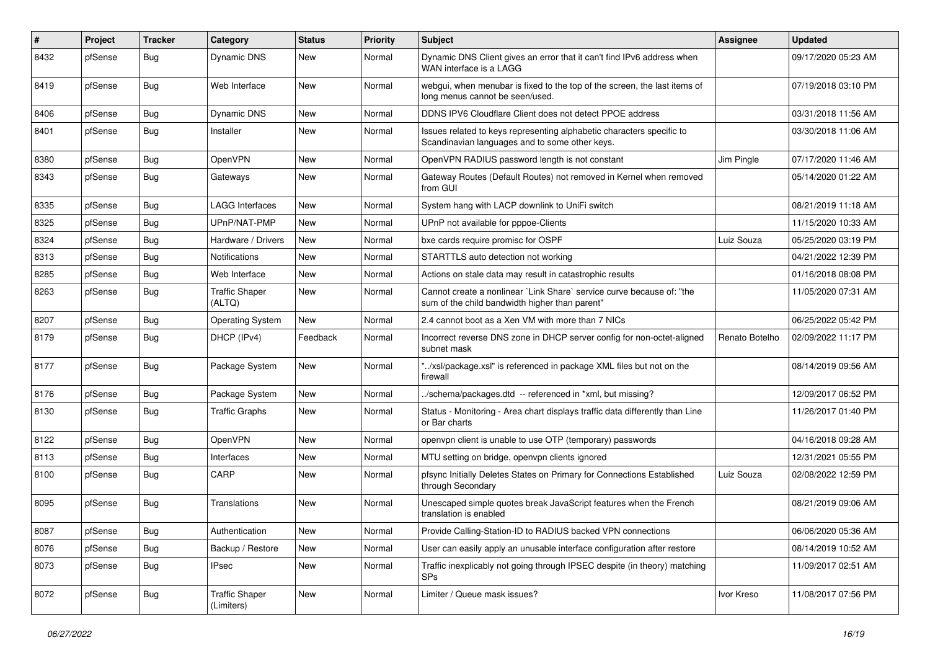| $\vert$ # | Project | <b>Tracker</b> | Category                            | <b>Status</b> | <b>Priority</b> | Subject                                                                                                                 | Assignee       | <b>Updated</b>      |
|-----------|---------|----------------|-------------------------------------|---------------|-----------------|-------------------------------------------------------------------------------------------------------------------------|----------------|---------------------|
| 8432      | pfSense | Bug            | Dynamic DNS                         | New           | Normal          | Dynamic DNS Client gives an error that it can't find IPv6 address when<br>WAN interface is a LAGG                       |                | 09/17/2020 05:23 AM |
| 8419      | pfSense | Bug            | Web Interface                       | <b>New</b>    | Normal          | webgui, when menubar is fixed to the top of the screen, the last items of<br>long menus cannot be seen/used.            |                | 07/19/2018 03:10 PM |
| 8406      | pfSense | <b>Bug</b>     | <b>Dynamic DNS</b>                  | New           | Normal          | DDNS IPV6 Cloudflare Client does not detect PPOE address                                                                |                | 03/31/2018 11:56 AM |
| 8401      | pfSense | Bug            | Installer                           | <b>New</b>    | Normal          | Issues related to keys representing alphabetic characters specific to<br>Scandinavian languages and to some other keys. |                | 03/30/2018 11:06 AM |
| 8380      | pfSense | <b>Bug</b>     | OpenVPN                             | <b>New</b>    | Normal          | OpenVPN RADIUS password length is not constant                                                                          | Jim Pingle     | 07/17/2020 11:46 AM |
| 8343      | pfSense | Bug            | Gateways                            | New           | Normal          | Gateway Routes (Default Routes) not removed in Kernel when removed<br>from GUI                                          |                | 05/14/2020 01:22 AM |
| 8335      | pfSense | <b>Bug</b>     | <b>LAGG Interfaces</b>              | New           | Normal          | System hang with LACP downlink to UniFi switch                                                                          |                | 08/21/2019 11:18 AM |
| 8325      | pfSense | <b>Bug</b>     | UPnP/NAT-PMP                        | New           | Normal          | UPnP not available for pppoe-Clients                                                                                    |                | 11/15/2020 10:33 AM |
| 8324      | pfSense | <b>Bug</b>     | Hardware / Drivers                  | New           | Normal          | bxe cards require promisc for OSPF                                                                                      | Luiz Souza     | 05/25/2020 03:19 PM |
| 8313      | pfSense | <b>Bug</b>     | <b>Notifications</b>                | <b>New</b>    | Normal          | STARTTLS auto detection not working                                                                                     |                | 04/21/2022 12:39 PM |
| 8285      | pfSense | Bug            | Web Interface                       | New           | Normal          | Actions on stale data may result in catastrophic results                                                                |                | 01/16/2018 08:08 PM |
| 8263      | pfSense | Bug            | <b>Traffic Shaper</b><br>(ALTQ)     | New           | Normal          | Cannot create a nonlinear `Link Share` service curve because of: "the<br>sum of the child bandwidth higher than parent" |                | 11/05/2020 07:31 AM |
| 8207      | pfSense | <b>Bug</b>     | <b>Operating System</b>             | <b>New</b>    | Normal          | 2.4 cannot boot as a Xen VM with more than 7 NICs                                                                       |                | 06/25/2022 05:42 PM |
| 8179      | pfSense | Bug            | DHCP (IPv4)                         | Feedback      | Normal          | Incorrect reverse DNS zone in DHCP server config for non-octet-aligned<br>subnet mask                                   | Renato Botelho | 02/09/2022 11:17 PM |
| 8177      | pfSense | <b>Bug</b>     | Package System                      | New           | Normal          | "/xsl/package.xsl" is referenced in package XML files but not on the<br>firewall                                        |                | 08/14/2019 09:56 AM |
| 8176      | pfSense | <b>Bug</b>     | Package System                      | New           | Normal          | /schema/packages.dtd -- referenced in *xml, but missing?                                                                |                | 12/09/2017 06:52 PM |
| 8130      | pfSense | <b>Bug</b>     | <b>Traffic Graphs</b>               | <b>New</b>    | Normal          | Status - Monitoring - Area chart displays traffic data differently than Line<br>or Bar charts                           |                | 11/26/2017 01:40 PM |
| 8122      | pfSense | <b>Bug</b>     | OpenVPN                             | <b>New</b>    | Normal          | openvpn client is unable to use OTP (temporary) passwords                                                               |                | 04/16/2018 09:28 AM |
| 8113      | pfSense | <b>Bug</b>     | Interfaces                          | New           | Normal          | MTU setting on bridge, openvpn clients ignored                                                                          |                | 12/31/2021 05:55 PM |
| 8100      | pfSense | <b>Bug</b>     | CARP                                | New           | Normal          | pfsync Initially Deletes States on Primary for Connections Established<br>through Secondary                             | Luiz Souza     | 02/08/2022 12:59 PM |
| 8095      | pfSense | Bug            | Translations                        | New           | Normal          | Unescaped simple quotes break JavaScript features when the French<br>translation is enabled                             |                | 08/21/2019 09:06 AM |
| 8087      | pfSense | <b>Bug</b>     | Authentication                      | New           | Normal          | Provide Calling-Station-ID to RADIUS backed VPN connections                                                             |                | 06/06/2020 05:36 AM |
| 8076      | pfSense | Bug            | Backup / Restore                    | New           | Normal          | User can easily apply an unusable interface configuration after restore                                                 |                | 08/14/2019 10:52 AM |
| 8073      | pfSense | <b>Bug</b>     | IPsec                               | New           | Normal          | Traffic inexplicably not going through IPSEC despite (in theory) matching<br>SP <sub>s</sub>                            |                | 11/09/2017 02:51 AM |
| 8072      | pfSense | Bug            | <b>Traffic Shaper</b><br>(Limiters) | New           | Normal          | Limiter / Queue mask issues?                                                                                            | Ivor Kreso     | 11/08/2017 07:56 PM |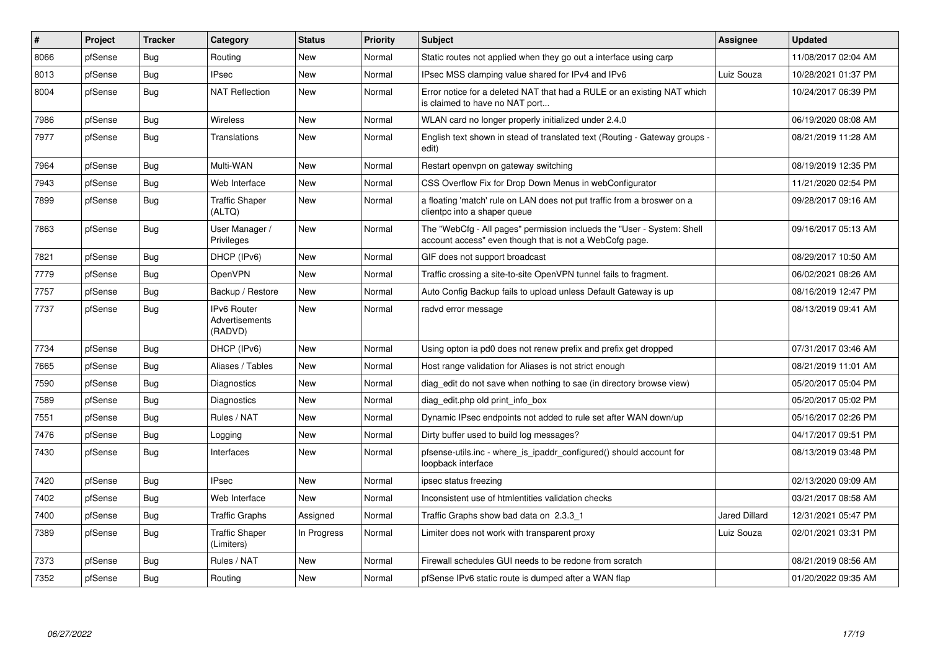| $\vert$ # | Project | <b>Tracker</b> | Category                                        | <b>Status</b> | <b>Priority</b> | <b>Subject</b>                                                                                                                    | <b>Assignee</b>      | <b>Updated</b>      |
|-----------|---------|----------------|-------------------------------------------------|---------------|-----------------|-----------------------------------------------------------------------------------------------------------------------------------|----------------------|---------------------|
| 8066      | pfSense | Bug            | Routing                                         | <b>New</b>    | Normal          | Static routes not applied when they go out a interface using carp                                                                 |                      | 11/08/2017 02:04 AM |
| 8013      | pfSense | Bug            | <b>IPsec</b>                                    | <b>New</b>    | Normal          | IPsec MSS clamping value shared for IPv4 and IPv6                                                                                 | Luiz Souza           | 10/28/2021 01:37 PM |
| 8004      | pfSense | <b>Bug</b>     | <b>NAT Reflection</b>                           | <b>New</b>    | Normal          | Error notice for a deleted NAT that had a RULE or an existing NAT which<br>is claimed to have no NAT port                         |                      | 10/24/2017 06:39 PM |
| 7986      | pfSense | Bug            | Wireless                                        | <b>New</b>    | Normal          | WLAN card no longer properly initialized under 2.4.0                                                                              |                      | 06/19/2020 08:08 AM |
| 7977      | pfSense | <b>Bug</b>     | Translations                                    | New           | Normal          | English text shown in stead of translated text (Routing - Gateway groups -<br>edit)                                               |                      | 08/21/2019 11:28 AM |
| 7964      | pfSense | Bug            | Multi-WAN                                       | <b>New</b>    | Normal          | Restart openvpn on gateway switching                                                                                              |                      | 08/19/2019 12:35 PM |
| 7943      | pfSense | Bug            | Web Interface                                   | <b>New</b>    | Normal          | CSS Overflow Fix for Drop Down Menus in webConfigurator                                                                           |                      | 11/21/2020 02:54 PM |
| 7899      | pfSense | Bug            | <b>Traffic Shaper</b><br>(ALTQ)                 | <b>New</b>    | Normal          | a floating 'match' rule on LAN does not put traffic from a broswer on a<br>clientpc into a shaper queue                           |                      | 09/28/2017 09:16 AM |
| 7863      | pfSense | Bug            | User Manager /<br>Privileges                    | <b>New</b>    | Normal          | The "WebCfg - All pages" permission inclueds the "User - System: Shell<br>account access" even though that is not a WebCofg page. |                      | 09/16/2017 05:13 AM |
| 7821      | pfSense | <b>Bug</b>     | DHCP (IPv6)                                     | New           | Normal          | GIF does not support broadcast                                                                                                    |                      | 08/29/2017 10:50 AM |
| 7779      | pfSense | Bug            | <b>OpenVPN</b>                                  | <b>New</b>    | Normal          | Traffic crossing a site-to-site OpenVPN tunnel fails to fragment.                                                                 |                      | 06/02/2021 08:26 AM |
| 7757      | pfSense | Bug            | Backup / Restore                                | <b>New</b>    | Normal          | Auto Config Backup fails to upload unless Default Gateway is up                                                                   |                      | 08/16/2019 12:47 PM |
| 7737      | pfSense | <b>Bug</b>     | <b>IPv6 Router</b><br>Advertisements<br>(RADVD) | <b>New</b>    | Normal          | radvd error message                                                                                                               |                      | 08/13/2019 09:41 AM |
| 7734      | pfSense | Bug            | DHCP (IPv6)                                     | <b>New</b>    | Normal          | Using opton ia pd0 does not renew prefix and prefix get dropped                                                                   |                      | 07/31/2017 03:46 AM |
| 7665      | pfSense | Bug            | Aliases / Tables                                | New           | Normal          | Host range validation for Aliases is not strict enough                                                                            |                      | 08/21/2019 11:01 AM |
| 7590      | pfSense | <b>Bug</b>     | Diagnostics                                     | <b>New</b>    | Normal          | diag edit do not save when nothing to sae (in directory browse view)                                                              |                      | 05/20/2017 05:04 PM |
| 7589      | pfSense | Bug            | Diagnostics                                     | <b>New</b>    | Normal          | diag edit.php old print info box                                                                                                  |                      | 05/20/2017 05:02 PM |
| 7551      | pfSense | Bug            | Rules / NAT                                     | <b>New</b>    | Normal          | Dynamic IPsec endpoints not added to rule set after WAN down/up                                                                   |                      | 05/16/2017 02:26 PM |
| 7476      | pfSense | Bug            | Logging                                         | New           | Normal          | Dirty buffer used to build log messages?                                                                                          |                      | 04/17/2017 09:51 PM |
| 7430      | pfSense | <b>Bug</b>     | Interfaces                                      | New           | Normal          | pfsense-utils.inc - where_is_ipaddr_configured() should account for<br>loopback interface                                         |                      | 08/13/2019 03:48 PM |
| 7420      | pfSense | <b>Bug</b>     | <b>IPsec</b>                                    | <b>New</b>    | Normal          | ipsec status freezing                                                                                                             |                      | 02/13/2020 09:09 AM |
| 7402      | pfSense | Bug            | Web Interface                                   | <b>New</b>    | Normal          | Inconsistent use of htmlentities validation checks                                                                                |                      | 03/21/2017 08:58 AM |
| 7400      | pfSense | Bug            | <b>Traffic Graphs</b>                           | Assigned      | Normal          | Traffic Graphs show bad data on 2.3.3 1                                                                                           | <b>Jared Dillard</b> | 12/31/2021 05:47 PM |
| 7389      | pfSense | Bug            | <b>Traffic Shaper</b><br>(Limiters)             | In Progress   | Normal          | Limiter does not work with transparent proxy                                                                                      | Luiz Souza           | 02/01/2021 03:31 PM |
| 7373      | pfSense | <b>Bug</b>     | Rules / NAT                                     | New           | Normal          | Firewall schedules GUI needs to be redone from scratch                                                                            |                      | 08/21/2019 08:56 AM |
| 7352      | pfSense | <b>Bug</b>     | Routing                                         | <b>New</b>    | Normal          | pfSense IPv6 static route is dumped after a WAN flap                                                                              |                      | 01/20/2022 09:35 AM |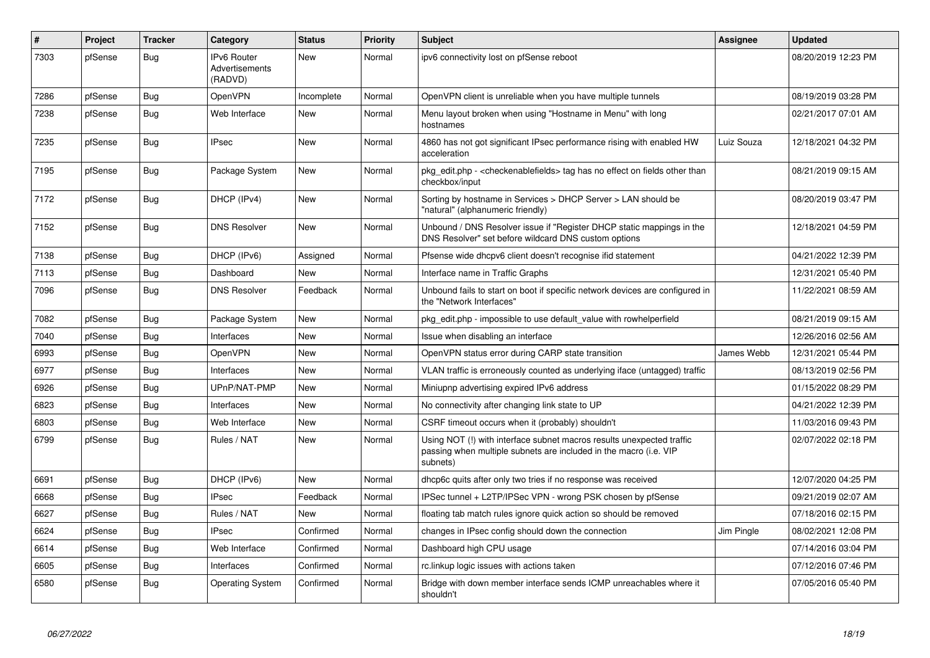| $\vert$ # | Project | <b>Tracker</b> | Category                                        | <b>Status</b> | <b>Priority</b> | <b>Subject</b>                                                                                                                                         | Assignee   | <b>Updated</b>      |
|-----------|---------|----------------|-------------------------------------------------|---------------|-----------------|--------------------------------------------------------------------------------------------------------------------------------------------------------|------------|---------------------|
| 7303      | pfSense | Bug            | <b>IPv6 Router</b><br>Advertisements<br>(RADVD) | <b>New</b>    | Normal          | ipv6 connectivity lost on pfSense reboot                                                                                                               |            | 08/20/2019 12:23 PM |
| 7286      | pfSense | <b>Bug</b>     | <b>OpenVPN</b>                                  | Incomplete    | Normal          | OpenVPN client is unreliable when you have multiple tunnels                                                                                            |            | 08/19/2019 03:28 PM |
| 7238      | pfSense | Bug            | Web Interface                                   | New           | Normal          | Menu layout broken when using "Hostname in Menu" with long<br>hostnames                                                                                |            | 02/21/2017 07:01 AM |
| 7235      | pfSense | <b>Bug</b>     | <b>IPsec</b>                                    | New           | Normal          | 4860 has not got significant IPsec performance rising with enabled HW<br>acceleration                                                                  | Luiz Souza | 12/18/2021 04:32 PM |
| 7195      | pfSense | Bug            | Package System                                  | <b>New</b>    | Normal          | pkg edit.php - <checkenablefields> tag has no effect on fields other than<br/>checkbox/input</checkenablefields>                                       |            | 08/21/2019 09:15 AM |
| 7172      | pfSense | Bug            | DHCP (IPv4)                                     | <b>New</b>    | Normal          | Sorting by hostname in Services > DHCP Server > LAN should be<br>"natural" (alphanumeric friendly)                                                     |            | 08/20/2019 03:47 PM |
| 7152      | pfSense | Bug            | <b>DNS Resolver</b>                             | <b>New</b>    | Normal          | Unbound / DNS Resolver issue if "Register DHCP static mappings in the<br>DNS Resolver" set before wildcard DNS custom options                          |            | 12/18/2021 04:59 PM |
| 7138      | pfSense | <b>Bug</b>     | DHCP (IPv6)                                     | Assigned      | Normal          | Pfsense wide dhcpv6 client doesn't recognise ifid statement                                                                                            |            | 04/21/2022 12:39 PM |
| 7113      | pfSense | <b>Bug</b>     | Dashboard                                       | <b>New</b>    | Normal          | Interface name in Traffic Graphs                                                                                                                       |            | 12/31/2021 05:40 PM |
| 7096      | pfSense | <b>Bug</b>     | <b>DNS Resolver</b>                             | Feedback      | Normal          | Unbound fails to start on boot if specific network devices are configured in<br>the "Network Interfaces"                                               |            | 11/22/2021 08:59 AM |
| 7082      | pfSense | <b>Bug</b>     | Package System                                  | <b>New</b>    | Normal          | pkg edit.php - impossible to use default value with rowhelperfield                                                                                     |            | 08/21/2019 09:15 AM |
| 7040      | pfSense | <b>Bug</b>     | Interfaces                                      | <b>New</b>    | Normal          | Issue when disabling an interface                                                                                                                      |            | 12/26/2016 02:56 AM |
| 6993      | pfSense | <b>Bug</b>     | <b>OpenVPN</b>                                  | <b>New</b>    | Normal          | OpenVPN status error during CARP state transition                                                                                                      | James Webb | 12/31/2021 05:44 PM |
| 6977      | pfSense | <b>Bug</b>     | Interfaces                                      | <b>New</b>    | Normal          | VLAN traffic is erroneously counted as underlying iface (untagged) traffic                                                                             |            | 08/13/2019 02:56 PM |
| 6926      | pfSense | Bug            | UPnP/NAT-PMP                                    | <b>New</b>    | Normal          | Miniupnp advertising expired IPv6 address                                                                                                              |            | 01/15/2022 08:29 PM |
| 6823      | pfSense | Bug            | Interfaces                                      | <b>New</b>    | Normal          | No connectivity after changing link state to UP                                                                                                        |            | 04/21/2022 12:39 PM |
| 6803      | pfSense | <b>Bug</b>     | Web Interface                                   | <b>New</b>    | Normal          | CSRF timeout occurs when it (probably) shouldn't                                                                                                       |            | 11/03/2016 09:43 PM |
| 6799      | pfSense | Bug            | Rules / NAT                                     | New           | Normal          | Using NOT (!) with interface subnet macros results unexpected traffic<br>passing when multiple subnets are included in the macro (i.e. VIP<br>subnets) |            | 02/07/2022 02:18 PM |
| 6691      | pfSense | Bug            | DHCP (IPv6)                                     | <b>New</b>    | Normal          | dhcp6c quits after only two tries if no response was received                                                                                          |            | 12/07/2020 04:25 PM |
| 6668      | pfSense | Bug            | <b>IPsec</b>                                    | Feedback      | Normal          | IPSec tunnel + L2TP/IPSec VPN - wrong PSK chosen by pfSense                                                                                            |            | 09/21/2019 02:07 AM |
| 6627      | pfSense | <b>Bug</b>     | Rules / NAT                                     | <b>New</b>    | Normal          | floating tab match rules ignore quick action so should be removed                                                                                      |            | 07/18/2016 02:15 PM |
| 6624      | pfSense | <b>Bug</b>     | <b>IPsec</b>                                    | Confirmed     | Normal          | changes in IPsec config should down the connection                                                                                                     | Jim Pingle | 08/02/2021 12:08 PM |
| 6614      | pfSense | <b>Bug</b>     | Web Interface                                   | Confirmed     | Normal          | Dashboard high CPU usage                                                                                                                               |            | 07/14/2016 03:04 PM |
| 6605      | pfSense | Bug            | Interfaces                                      | Confirmed     | Normal          | rc.linkup logic issues with actions taken                                                                                                              |            | 07/12/2016 07:46 PM |
| 6580      | pfSense | Bug            | <b>Operating System</b>                         | Confirmed     | Normal          | Bridge with down member interface sends ICMP unreachables where it<br>shouldn't                                                                        |            | 07/05/2016 05:40 PM |